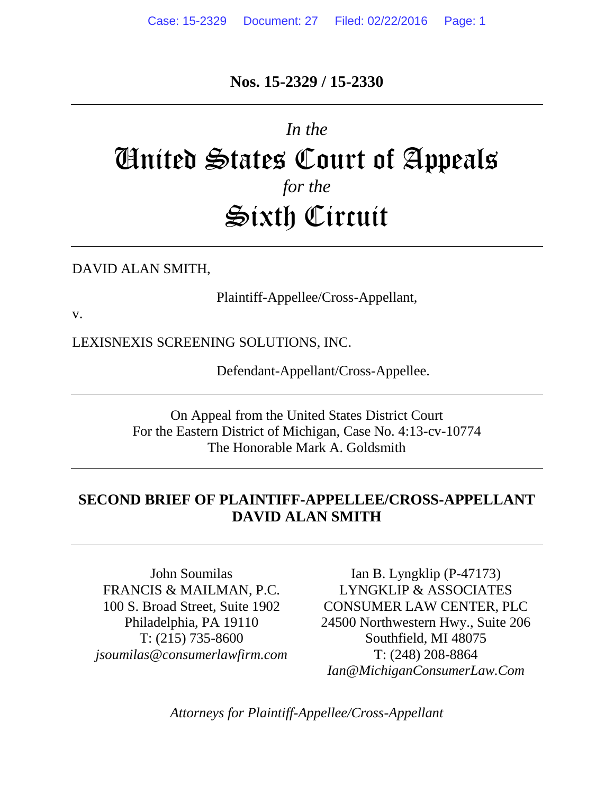## **Nos. 15-2329 / 15-2330**

# *In the* United States Court of Appeals *for the* Sixth Circuit

#### DAVID ALAN SMITH,

Plaintiff-Appellee/Cross-Appellant,

v.

LEXISNEXIS SCREENING SOLUTIONS, INC.

Defendant-Appellant/Cross-Appellee.

On Appeal from the United States District Court For the Eastern District of Michigan, Case No. 4:13-cv-10774 The Honorable Mark A. Goldsmith

### **SECOND BRIEF OF PLAINTIFF-APPELLEE/CROSS-APPELLANT DAVID ALAN SMITH**

John Soumilas FRANCIS & MAILMAN, P.C. 100 S. Broad Street, Suite 1902 Philadelphia, PA 19110 T: (215) 735-8600 *[jsoumilas@consumerlawfirm.com](mailto:jsoumilas@consumerlawfirm.com)*

Ian B. Lyngklip (P-47173) LYNGKLIP & ASSOCIATES CONSUMER LAW CENTER, PLC 24500 Northwestern Hwy., Suite 206 Southfield, MI 48075 T: (248) 208-8864 *Ian@MichiganConsumerLaw.Com*

*Attorneys for Plaintiff-Appellee/Cross-Appellant*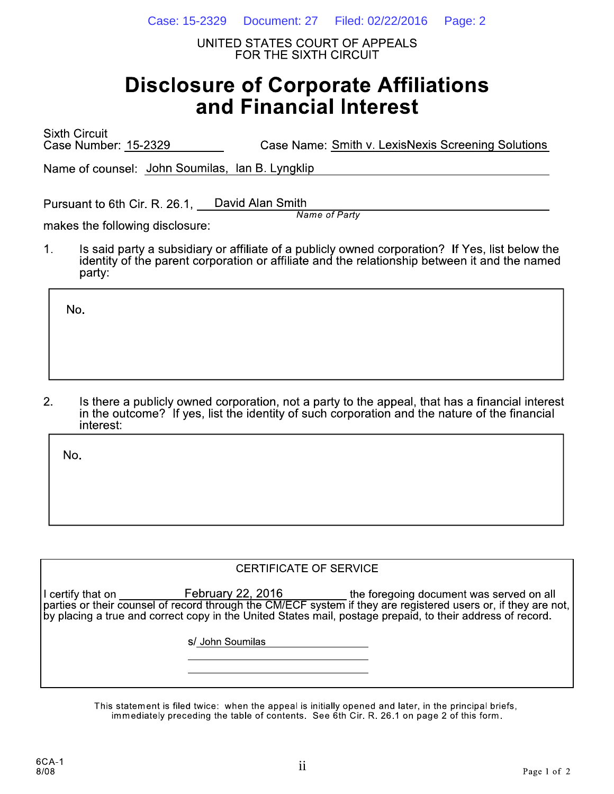Case: 15-2329 Document: 27 Filed: 02/22/2016 Page: 2

UNITED STATES COURT OF APPEALS FOR THE SIXTH CIRCUIT

# **Disclosure of Corporate Affiliations** and Financial Interest

**Sixth Circuit** Case Number: 15-2329 Case Name: Smith v. LexisNexis Screening Solutions

Name of counsel: John Soumilas, Ian B. Lyngklip

Pursuant to 6th Cir. R. 26.1, David Alan Smith **Name of Party** 

makes the following disclosure:

 $1<sub>1</sub>$ Is said party a subsidiary or affiliate of a publicly owned corporation? If Yes, list below the identity of the parent corporation or affiliate and the relationship between it and the named party:

No.

 $2.$ Is there a publicly owned corporation, not a party to the appeal, that has a financial interest in the outcome? If yes, list the identity of such corporation and the nature of the financial interest:

No.

#### **CERTIFICATE OF SERVICE**

I certify that on February 22, 2016 the foregoing document was served on all parties or their counsel of record through the CM/ECF system if they are registered users or, if they are not, by placing a true and correct copy in the United States mail, postage prepaid, to their address of record.

s/ John Soumilas

This statement is filed twice: when the appeal is initially opened and later, in the principal briefs, immediately preceding the table of contents. See 6th Cir. R. 26.1 on page 2 of this form.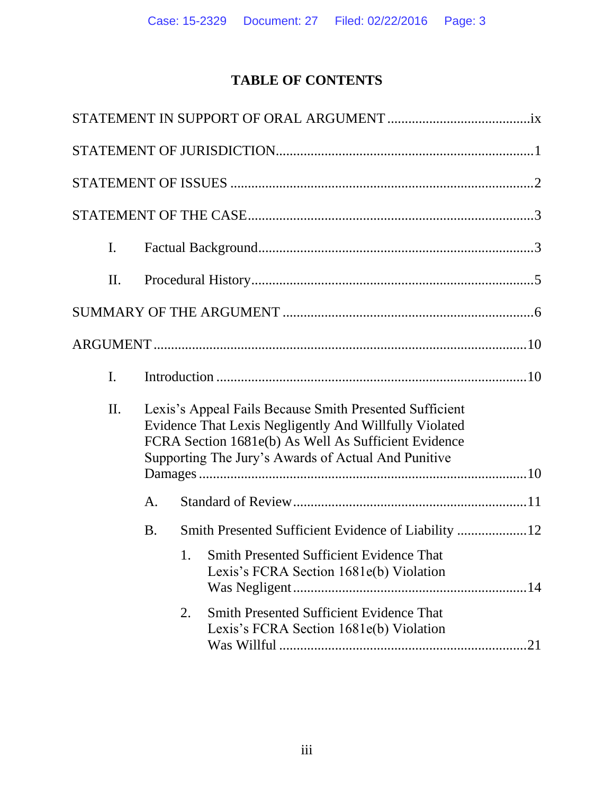# **TABLE OF CONTENTS**

| $\mathbf{I}$ . |           |                                                                                                                                                                                                                                  |
|----------------|-----------|----------------------------------------------------------------------------------------------------------------------------------------------------------------------------------------------------------------------------------|
| II.            |           |                                                                                                                                                                                                                                  |
|                |           |                                                                                                                                                                                                                                  |
|                |           |                                                                                                                                                                                                                                  |
| I.             |           |                                                                                                                                                                                                                                  |
| II.            |           | Lexis's Appeal Fails Because Smith Presented Sufficient<br>Evidence That Lexis Negligently And Willfully Violated<br>FCRA Section 1681e(b) As Well As Sufficient Evidence<br>Supporting The Jury's Awards of Actual And Punitive |
|                | A.        |                                                                                                                                                                                                                                  |
|                | <b>B.</b> |                                                                                                                                                                                                                                  |
|                |           | Smith Presented Sufficient Evidence That<br>1.<br>Lexis's FCRA Section 1681e(b) Violation                                                                                                                                        |
|                |           | <b>Smith Presented Sufficient Evidence That</b><br>2.<br>Lexis's FCRA Section 1681e(b) Violation<br>.21                                                                                                                          |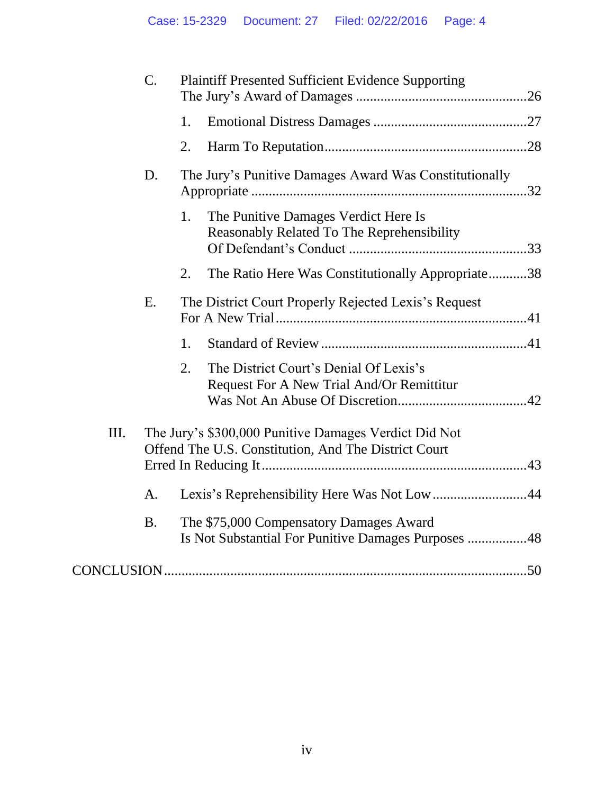|    | $\mathbf{C}$ . | <b>Plaintiff Presented Sufficient Evidence Supporting</b>                                                     |  |
|----|----------------|---------------------------------------------------------------------------------------------------------------|--|
|    |                | 1.                                                                                                            |  |
|    |                | 2.                                                                                                            |  |
|    | D.             | The Jury's Punitive Damages Award Was Constitutionally                                                        |  |
|    |                | 1.<br>The Punitive Damages Verdict Here Is<br>Reasonably Related To The Reprehensibility                      |  |
|    |                | The Ratio Here Was Constitutionally Appropriate38<br>2.                                                       |  |
|    | E.             | The District Court Properly Rejected Lexis's Request                                                          |  |
|    |                | 1.                                                                                                            |  |
|    |                | 2.<br>The District Court's Denial Of Lexis's<br>Request For A New Trial And/Or Remittitur                     |  |
| Ш. |                | The Jury's \$300,000 Punitive Damages Verdict Did Not<br>Offend The U.S. Constitution, And The District Court |  |
|    | A.             | Lexis's Reprehensibility Here Was Not Low44                                                                   |  |
|    | <b>B.</b>      | The \$75,000 Compensatory Damages Award<br>Is Not Substantial For Punitive Damages Purposes 48                |  |
|    |                |                                                                                                               |  |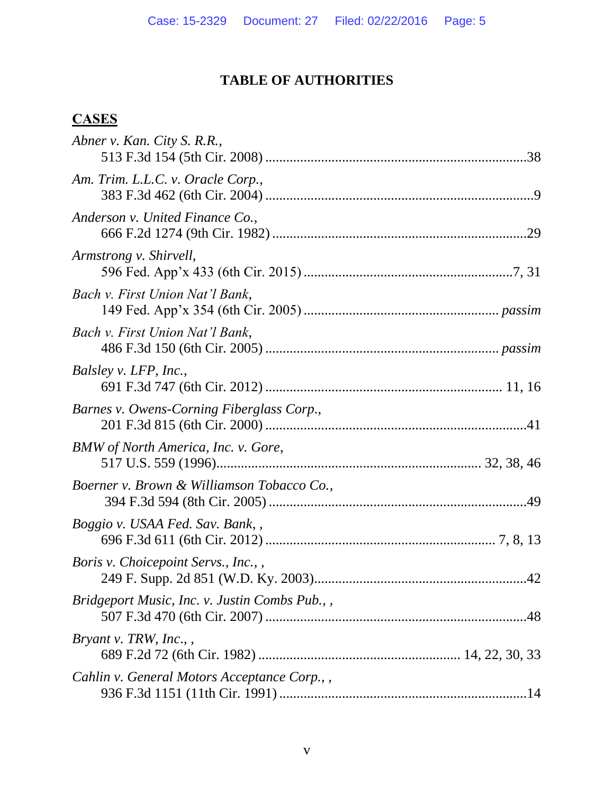### **TABLE OF AUTHORITIES**

# **CASES**

| $\alpha$                                      |  |
|-----------------------------------------------|--|
| Abner v. Kan. City S. R.R.,                   |  |
| Am. Trim. L.L.C. v. Oracle Corp.,             |  |
| Anderson v. United Finance Co.,               |  |
| Armstrong v. Shirvell,                        |  |
| Bach v. First Union Nat'l Bank,               |  |
| Bach v. First Union Nat'l Bank,               |  |
| Balsley v. LFP, Inc.,                         |  |
| Barnes v. Owens-Corning Fiberglass Corp.,     |  |
| BMW of North America, Inc. v. Gore,           |  |
| Boerner v. Brown & Williamson Tobacco Co.,    |  |
| Boggio v. USAA Fed. Sav. Bank,,               |  |
| <i>Boris v. Choicepoint Servs., Inc.,,</i>    |  |
| Bridgeport Music, Inc. v. Justin Combs Pub.,, |  |
| <i>Bryant v. TRW, Inc.,,</i>                  |  |
| Cahlin v. General Motors Acceptance Corp.,,   |  |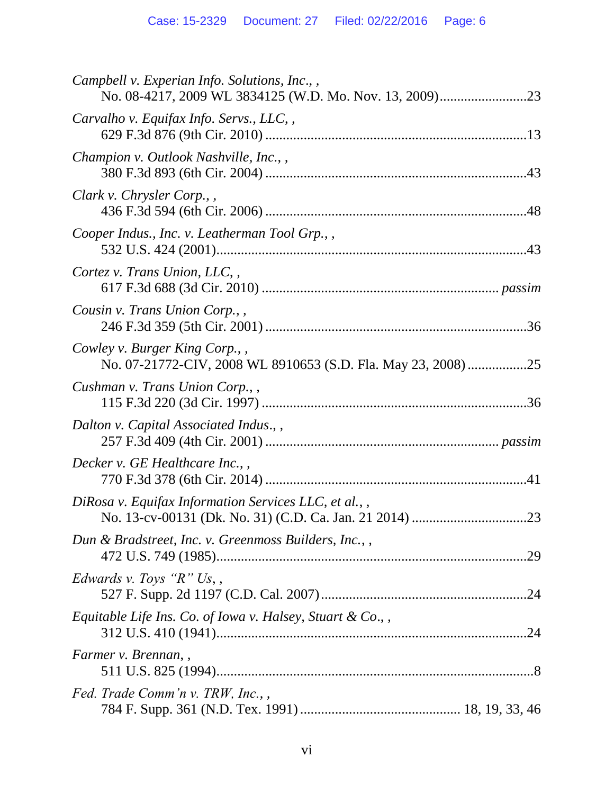| Campbell v. Experian Info. Solutions, Inc.,,                                                  |
|-----------------------------------------------------------------------------------------------|
| Carvalho v. Equifax Info. Servs., LLC,,                                                       |
| Champion v. Outlook Nashville, Inc.,,                                                         |
| Clark v. Chrysler Corp.,                                                                      |
| Cooper Indus., Inc. v. Leatherman Tool Grp.,,                                                 |
| Cortez v. Trans Union, LLC,                                                                   |
| Cousin v. Trans Union Corp.,,                                                                 |
| Cowley v. Burger King Corp.,<br>No. 07-21772-CIV, 2008 WL 8910653 (S.D. Fla. May 23, 2008) 25 |
| Cushman v. Trans Union Corp.,                                                                 |
| Dalton v. Capital Associated Indus., ,                                                        |
| Decker v. GE Healthcare Inc.,                                                                 |
| DiRosa v. Equifax Information Services LLC, et al.,,                                          |
| Dun & Bradstreet, Inc. v. Greenmoss Builders, Inc.,,                                          |
| Edwards v. Toys " $R$ " Us,,                                                                  |
| Equitable Life Ins. Co. of Iowa v. Halsey, Stuart & Co.,,                                     |
| Farmer v. Brennan,                                                                            |
| Fed. Trade Comm'n v. TRW, Inc.,                                                               |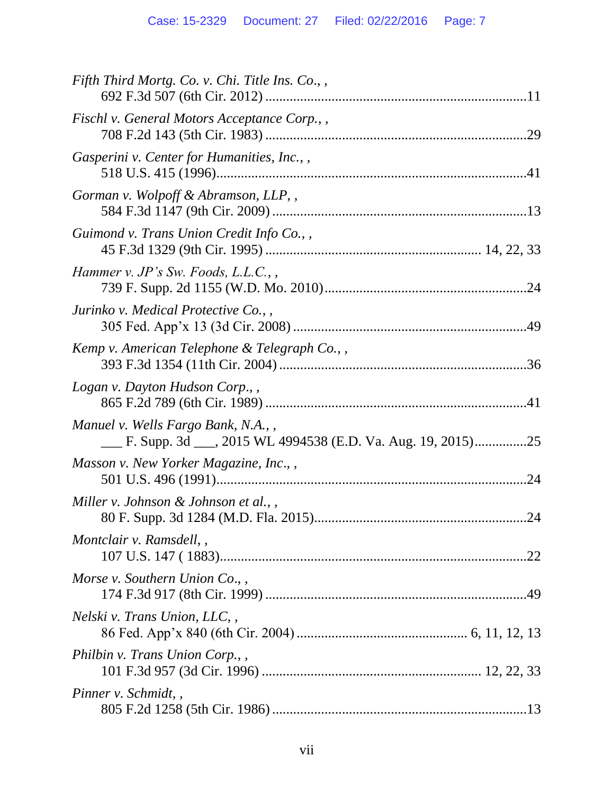| Fifth Third Mortg. Co. v. Chi. Title Ins. Co.,,                                                  |
|--------------------------------------------------------------------------------------------------|
| Fischl v. General Motors Acceptance Corp.,,                                                      |
| Gasperini v. Center for Humanities, Inc.,,                                                       |
| Gorman v. Wolpoff & Abramson, LLP,,                                                              |
| Guimond v. Trans Union Credit Info Co.,                                                          |
| Hammer v. JP's Sw. Foods, L.L.C., ,                                                              |
| Jurinko v. Medical Protective Co.,                                                               |
| Kemp v. American Telephone & Telegraph Co.,,                                                     |
| Logan v. Dayton Hudson Corp.,,                                                                   |
| Manuel v. Wells Fargo Bank, N.A.,<br>E. Supp. 3d ___, 2015 WL 4994538 (E.D. Va. Aug. 19, 2015)25 |
| Masson v. New Yorker Magazine, Inc.,,<br>.24                                                     |
| Miller v. Johnson & Johnson et al.,                                                              |
| Montclair v. Ramsdell,,<br>.22                                                                   |
| Morse v. Southern Union Co.,                                                                     |
| Nelski v. Trans Union, LLC,                                                                      |
| Philbin v. Trans Union Corp.,                                                                    |
| Pinner v. Schmidt,                                                                               |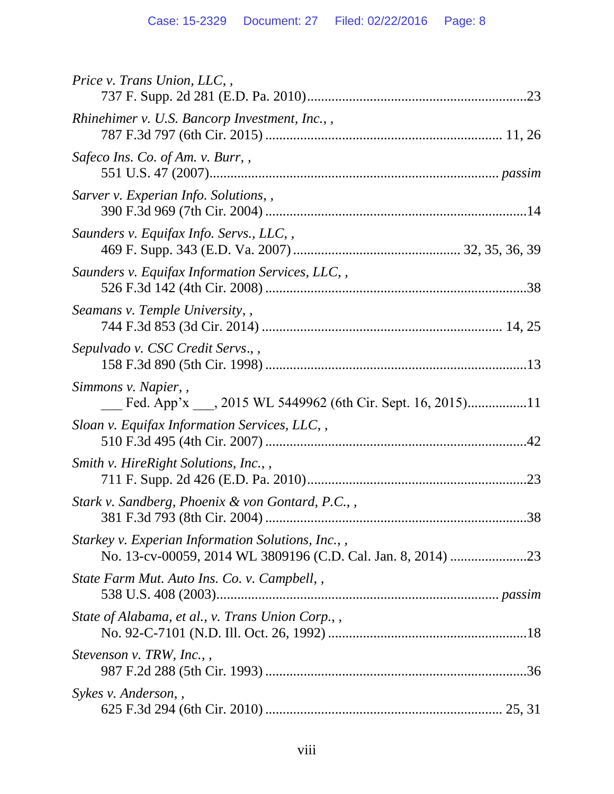| Price v. Trans Union, LLC,,                                                         |
|-------------------------------------------------------------------------------------|
| Rhinehimer v. U.S. Bancorp Investment, Inc.,,                                       |
| Safeco Ins. Co. of Am. v. Burr,,                                                    |
| Sarver v. Experian Info. Solutions,,                                                |
| Saunders v. Equifax Info. Servs., LLC,,                                             |
| Saunders v. Equifax Information Services, LLC,,                                     |
| Seamans v. Temple University,,                                                      |
| Sepulvado v. CSC Credit Servs.,                                                     |
| Simmons v. Napier,,<br>Fed. App'x ____, 2015 WL 5449962 (6th Cir. Sept. 16, 2015)11 |
| Sloan v. Equifax Information Services, LLC,,                                        |
| Smith v. HireRight Solutions, Inc.,,                                                |
| Stark v. Sandberg, Phoenix & von Gontard, P.C.,<br>38                               |
| Starkey v. Experian Information Solutions, Inc.,,                                   |
| State Farm Mut. Auto Ins. Co. v. Campbell,,                                         |
| State of Alabama, et al., v. Trans Union Corp.,,                                    |
| <i>Stevenson v. TRW, Inc.,,</i>                                                     |
| Sykes v. Anderson,                                                                  |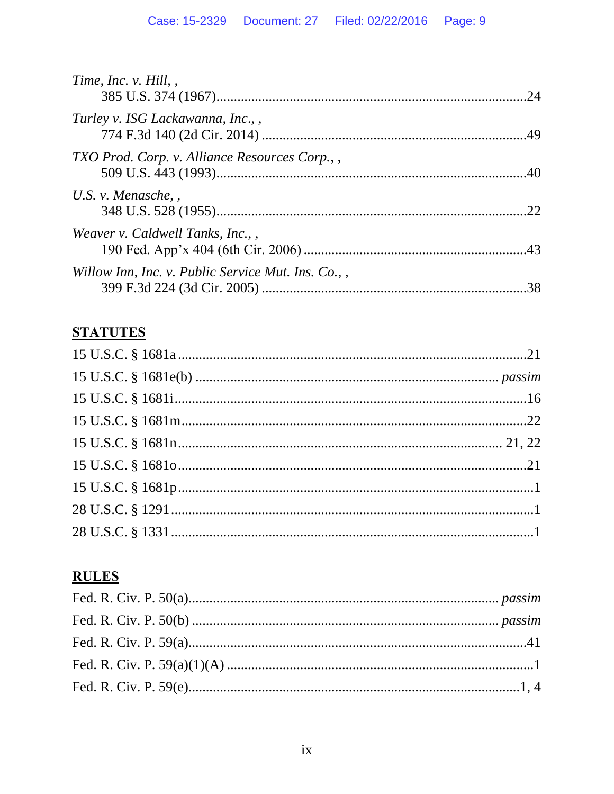| Time, Inc. v. Hill,                               | .24 |
|---------------------------------------------------|-----|
| Turley v. ISG Lackawanna, Inc.,                   |     |
| TXO Prod. Corp. v. Alliance Resources Corp.,,     |     |
| U.S. v. Menasche, $,$                             | 22  |
| Weaver v. Caldwell Tanks, Inc.,                   |     |
| Willow Inn, Inc. v. Public Service Mut. Ins. Co., | .38 |

# **STATUTES**

# **RULES**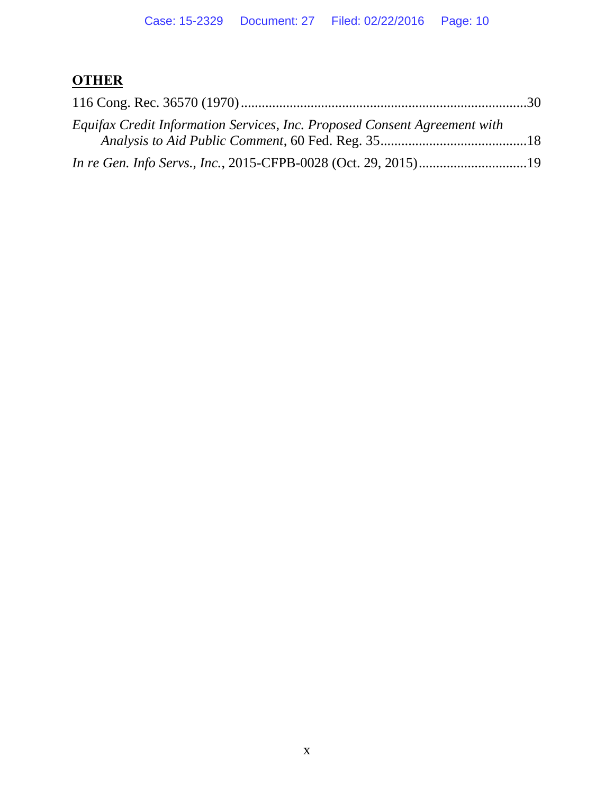# **OTHER**

| Equifax Credit Information Services, Inc. Proposed Consent Agreement with |  |
|---------------------------------------------------------------------------|--|
|                                                                           |  |
|                                                                           |  |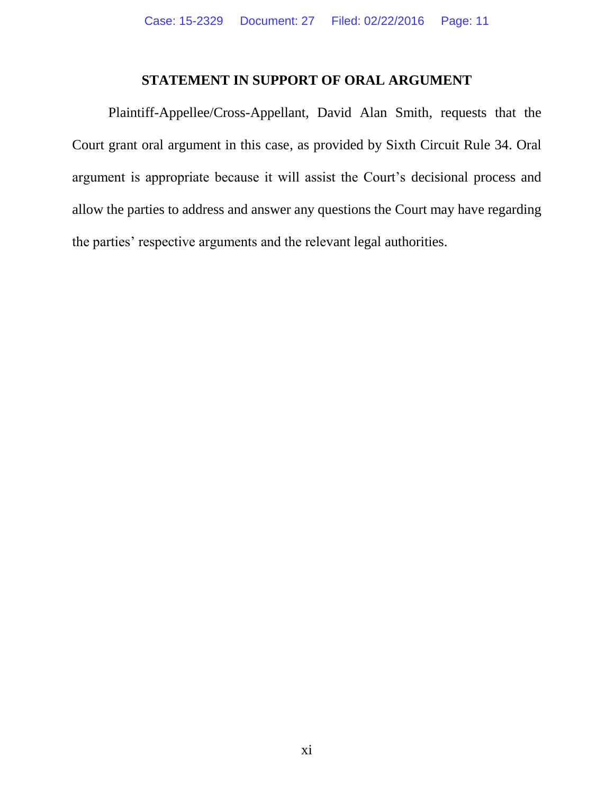#### **STATEMENT IN SUPPORT OF ORAL ARGUMENT**

Plaintiff-Appellee/Cross-Appellant, David Alan Smith, requests that the Court grant oral argument in this case, as provided by Sixth Circuit Rule 34. Oral argument is appropriate because it will assist the Court's decisional process and allow the parties to address and answer any questions the Court may have regarding the parties' respective arguments and the relevant legal authorities.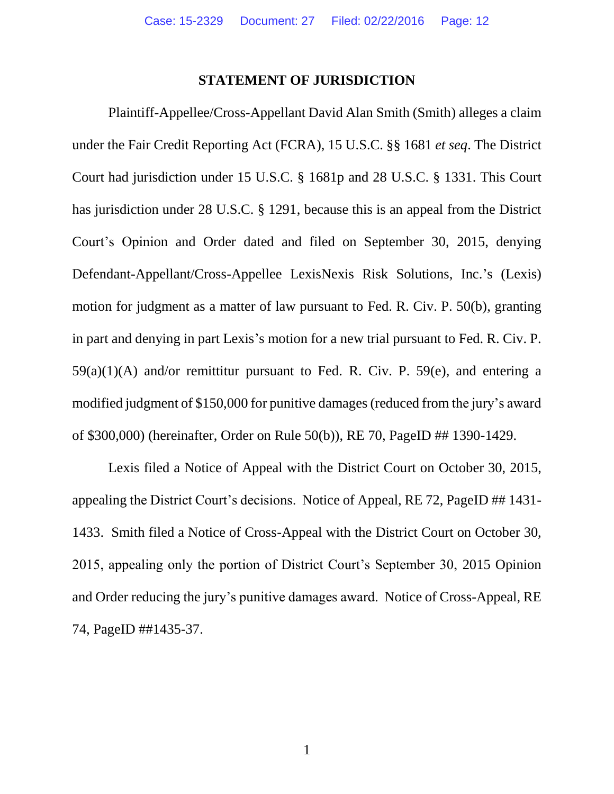#### **STATEMENT OF JURISDICTION**

Plaintiff-Appellee/Cross-Appellant David Alan Smith (Smith) alleges a claim under the Fair Credit Reporting Act (FCRA), 15 U.S.C. §§ 1681 *et seq*. The District Court had jurisdiction under 15 U.S.C. § 1681p and 28 U.S.C. § 1331. This Court has jurisdiction under 28 U.S.C. § 1291, because this is an appeal from the District Court's Opinion and Order dated and filed on September 30, 2015, denying Defendant-Appellant/Cross-Appellee LexisNexis Risk Solutions, Inc.'s (Lexis) motion for judgment as a matter of law pursuant to Fed. R. Civ. P. 50(b), granting in part and denying in part Lexis's motion for a new trial pursuant to Fed. R. Civ. P.  $59(a)(1)(A)$  and/or remittitur pursuant to Fed. R. Civ. P. 59(e), and entering a modified judgment of \$150,000 for punitive damages (reduced from the jury's award of \$300,000) (hereinafter, Order on Rule 50(b)), RE 70, PageID ## 1390-1429.

Lexis filed a Notice of Appeal with the District Court on October 30, 2015, appealing the District Court's decisions. Notice of Appeal, RE 72, PageID ## 1431- 1433. Smith filed a Notice of Cross-Appeal with the District Court on October 30, 2015, appealing only the portion of District Court's September 30, 2015 Opinion and Order reducing the jury's punitive damages award. Notice of Cross-Appeal, RE 74, PageID ##1435-37.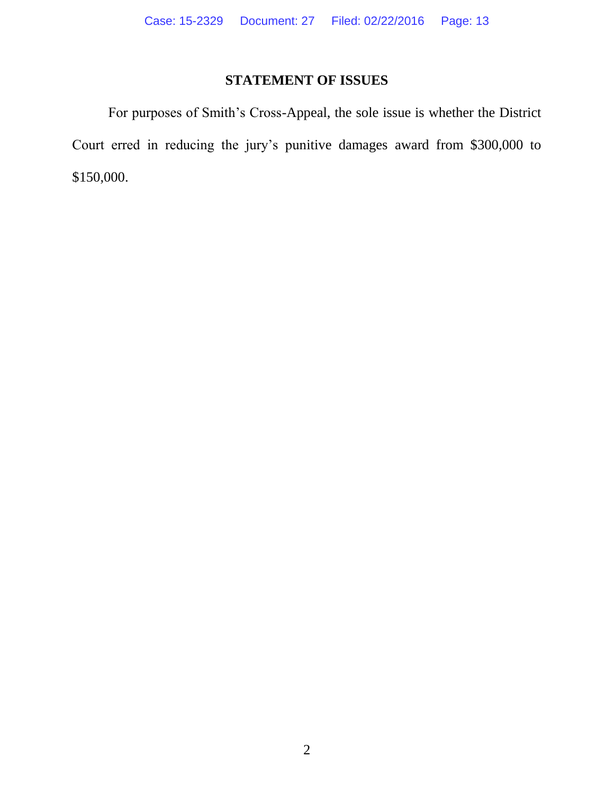# **STATEMENT OF ISSUES**

For purposes of Smith's Cross-Appeal, the sole issue is whether the District Court erred in reducing the jury's punitive damages award from \$300,000 to \$150,000.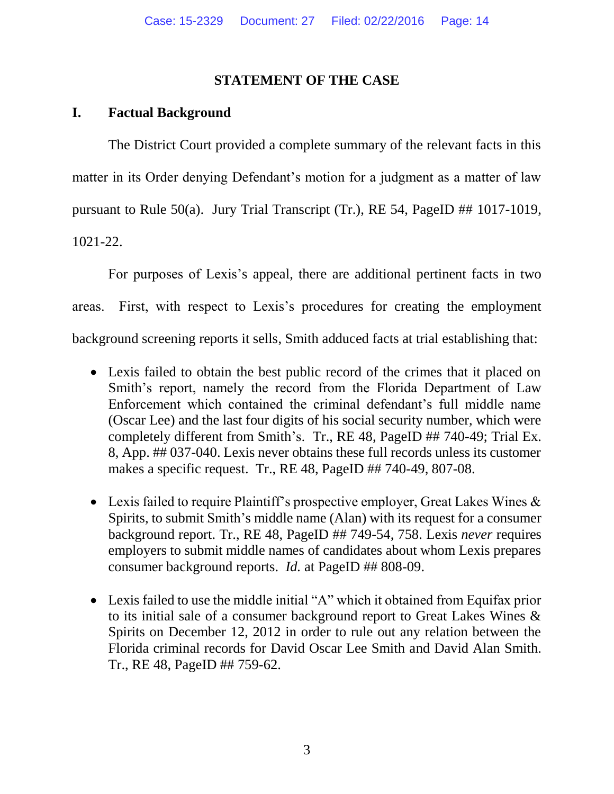#### **STATEMENT OF THE CASE**

#### **I. Factual Background**

The District Court provided a complete summary of the relevant facts in this matter in its Order denying Defendant's motion for a judgment as a matter of law pursuant to Rule 50(a). Jury Trial Transcript (Tr.), RE 54, PageID ## 1017-1019, 1021-22.

For purposes of Lexis's appeal, there are additional pertinent facts in two areas. First, with respect to Lexis's procedures for creating the employment background screening reports it sells, Smith adduced facts at trial establishing that:

- Lexis failed to obtain the best public record of the crimes that it placed on Smith's report, namely the record from the Florida Department of Law Enforcement which contained the criminal defendant's full middle name (Oscar Lee) and the last four digits of his social security number, which were completely different from Smith's. Tr., RE 48, PageID ## 740-49; Trial Ex. 8, App. ## 037-040. Lexis never obtains these full records unless its customer makes a specific request. Tr., RE 48, PageID ## 740-49, 807-08.
- Lexis failed to require Plaintiff's prospective employer, Great Lakes Wines  $\&$ Spirits, to submit Smith's middle name (Alan) with its request for a consumer background report. Tr., RE 48, PageID ## 749-54, 758. Lexis *never* requires employers to submit middle names of candidates about whom Lexis prepares consumer background reports. *Id.* at PageID ## 808-09.
- Lexis failed to use the middle initial "A" which it obtained from Equifax prior to its initial sale of a consumer background report to Great Lakes Wines & Spirits on December 12, 2012 in order to rule out any relation between the Florida criminal records for David Oscar Lee Smith and David Alan Smith. Tr., RE 48, PageID ## 759-62.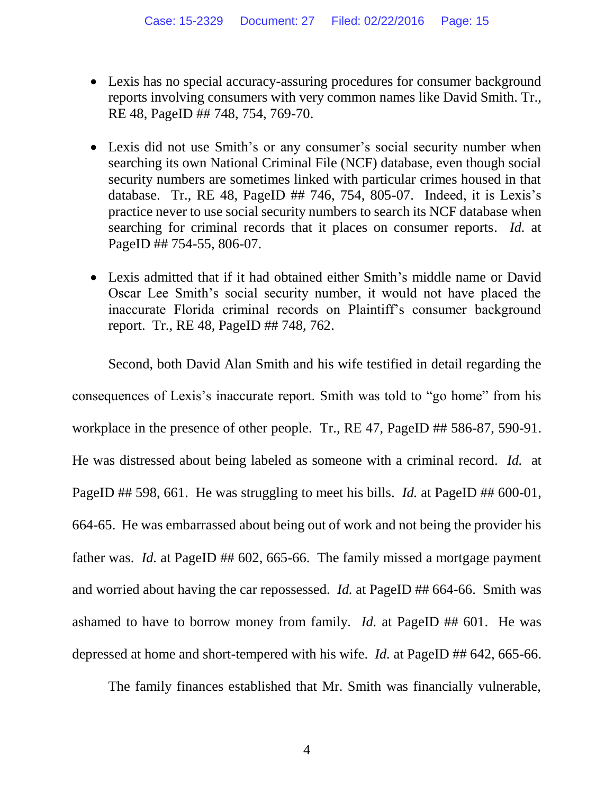- Lexis has no special accuracy-assuring procedures for consumer background reports involving consumers with very common names like David Smith. Tr., RE 48, PageID ## 748, 754, 769-70.
- Lexis did not use Smith's or any consumer's social security number when searching its own National Criminal File (NCF) database, even though social security numbers are sometimes linked with particular crimes housed in that database. Tr., RE 48, PageID ## 746, 754, 805-07. Indeed, it is Lexis's practice never to use social security numbers to search its NCF database when searching for criminal records that it places on consumer reports. *Id.* at PageID ## 754-55, 806-07.
- Lexis admitted that if it had obtained either Smith's middle name or David Oscar Lee Smith's social security number, it would not have placed the inaccurate Florida criminal records on Plaintiff's consumer background report. Tr., RE 48, PageID ## 748, 762.

Second, both David Alan Smith and his wife testified in detail regarding the consequences of Lexis's inaccurate report. Smith was told to "go home" from his workplace in the presence of other people. Tr., RE 47, PageID ## 586-87, 590-91. He was distressed about being labeled as someone with a criminal record. *Id.* at PageID ## 598, 661. He was struggling to meet his bills. *Id.* at PageID ## 600-01, 664-65. He was embarrassed about being out of work and not being the provider his father was. *Id.* at PageID ## 602, 665-66. The family missed a mortgage payment and worried about having the car repossessed. *Id.* at PageID ## 664-66. Smith was ashamed to have to borrow money from family. *Id.* at PageID ## 601. He was depressed at home and short-tempered with his wife. *Id.* at PageID ## 642, 665-66.

The family finances established that Mr. Smith was financially vulnerable,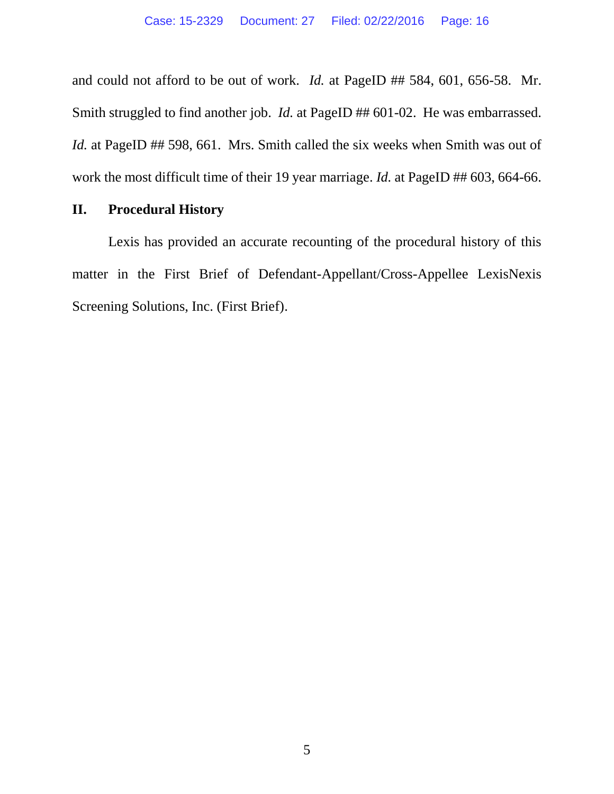and could not afford to be out of work. *Id.* at PageID ## 584, 601, 656-58. Mr. Smith struggled to find another job. *Id.* at PageID ## 601-02. He was embarrassed. *Id.* at PageID ## 598, 661. Mrs. Smith called the six weeks when Smith was out of work the most difficult time of their 19 year marriage. *Id.* at PageID ## 603, 664-66.

#### **II. Procedural History**

Lexis has provided an accurate recounting of the procedural history of this matter in the First Brief of Defendant-Appellant/Cross-Appellee LexisNexis Screening Solutions, Inc. (First Brief).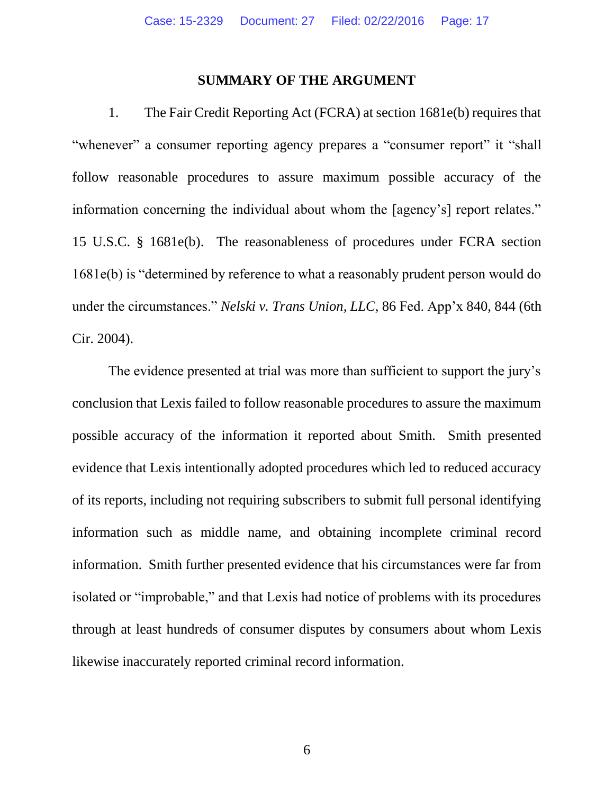#### **SUMMARY OF THE ARGUMENT**

1. The Fair Credit Reporting Act (FCRA) at section 1681e(b) requires that "whenever" a consumer reporting agency prepares a "consumer report" it "shall follow reasonable procedures to assure maximum possible accuracy of the information concerning the individual about whom the [agency's] report relates." 15 U.S.C. § 1681e(b). The reasonableness of procedures under FCRA section 1681e(b) is "determined by reference to what a reasonably prudent person would do under the circumstances." *Nelski v. Trans Union, LLC*, 86 Fed. App'x 840, 844 (6th Cir. 2004).

The evidence presented at trial was more than sufficient to support the jury's conclusion that Lexis failed to follow reasonable procedures to assure the maximum possible accuracy of the information it reported about Smith. Smith presented evidence that Lexis intentionally adopted procedures which led to reduced accuracy of its reports, including not requiring subscribers to submit full personal identifying information such as middle name, and obtaining incomplete criminal record information. Smith further presented evidence that his circumstances were far from isolated or "improbable," and that Lexis had notice of problems with its procedures through at least hundreds of consumer disputes by consumers about whom Lexis likewise inaccurately reported criminal record information.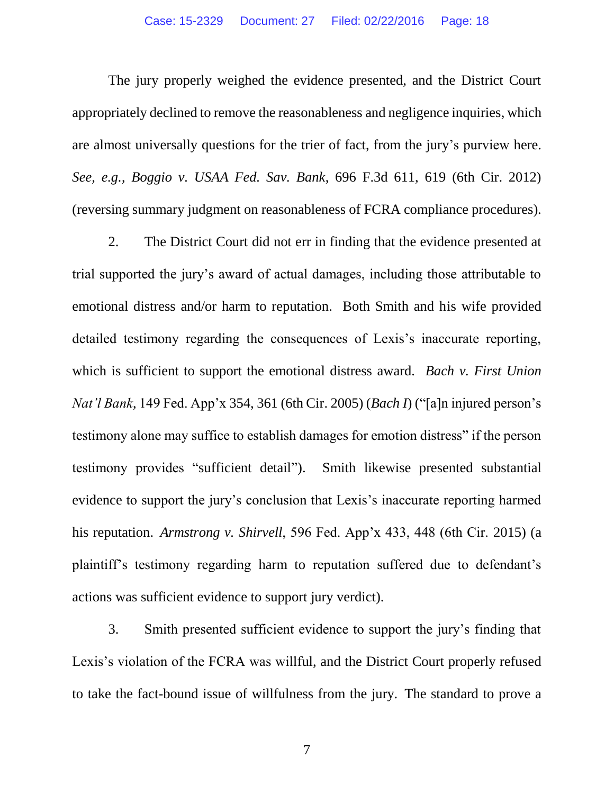The jury properly weighed the evidence presented, and the District Court appropriately declined to remove the reasonableness and negligence inquiries, which are almost universally questions for the trier of fact, from the jury's purview here. *See, e.g.*, *Boggio v. USAA Fed. Sav. Bank*, 696 F.3d 611, 619 (6th Cir. 2012) (reversing summary judgment on reasonableness of FCRA compliance procedures).

2. The District Court did not err in finding that the evidence presented at trial supported the jury's award of actual damages, including those attributable to emotional distress and/or harm to reputation. Both Smith and his wife provided detailed testimony regarding the consequences of Lexis's inaccurate reporting, which is sufficient to support the emotional distress award. *Bach v. First Union Nat'l Bank*, 149 Fed. App'x 354, 361 (6th Cir. 2005) (*Bach I*) ("[a]n injured person's testimony alone may suffice to establish damages for emotion distress" if the person testimony provides "sufficient detail"). Smith likewise presented substantial evidence to support the jury's conclusion that Lexis's inaccurate reporting harmed his reputation. *Armstrong v. Shirvell*, 596 Fed. App'x 433, 448 (6th Cir. 2015) (a plaintiff's testimony regarding harm to reputation suffered due to defendant's actions was sufficient evidence to support jury verdict).

3. Smith presented sufficient evidence to support the jury's finding that Lexis's violation of the FCRA was willful, and the District Court properly refused to take the fact-bound issue of willfulness from the jury. The standard to prove a

7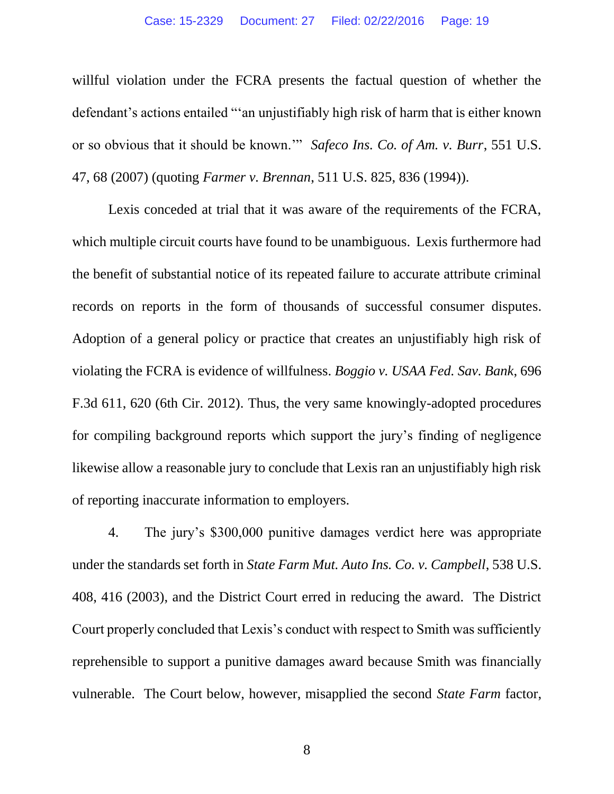willful violation under the FCRA presents the factual question of whether the defendant's actions entailed "'an unjustifiably high risk of harm that is either known or so obvious that it should be known.'" *Safeco Ins. Co. of Am. v. Burr*, 551 U.S. 47, 68 (2007) (quoting *Farmer v. Brennan*, 511 U.S. 825, 836 (1994)).

Lexis conceded at trial that it was aware of the requirements of the FCRA, which multiple circuit courts have found to be unambiguous. Lexis furthermore had the benefit of substantial notice of its repeated failure to accurate attribute criminal records on reports in the form of thousands of successful consumer disputes. Adoption of a general policy or practice that creates an unjustifiably high risk of violating the FCRA is evidence of willfulness. *Boggio v. USAA Fed. Sav. Bank*, 696 F.3d 611, 620 (6th Cir. 2012). Thus, the very same knowingly-adopted procedures for compiling background reports which support the jury's finding of negligence likewise allow a reasonable jury to conclude that Lexis ran an unjustifiably high risk of reporting inaccurate information to employers.

4. The jury's \$300,000 punitive damages verdict here was appropriate under the standards set forth in *State Farm Mut. Auto Ins. Co. v. Campbell*, 538 U.S. 408, 416 (2003), and the District Court erred in reducing the award. The District Court properly concluded that Lexis's conduct with respect to Smith was sufficiently reprehensible to support a punitive damages award because Smith was financially vulnerable. The Court below, however, misapplied the second *State Farm* factor,

8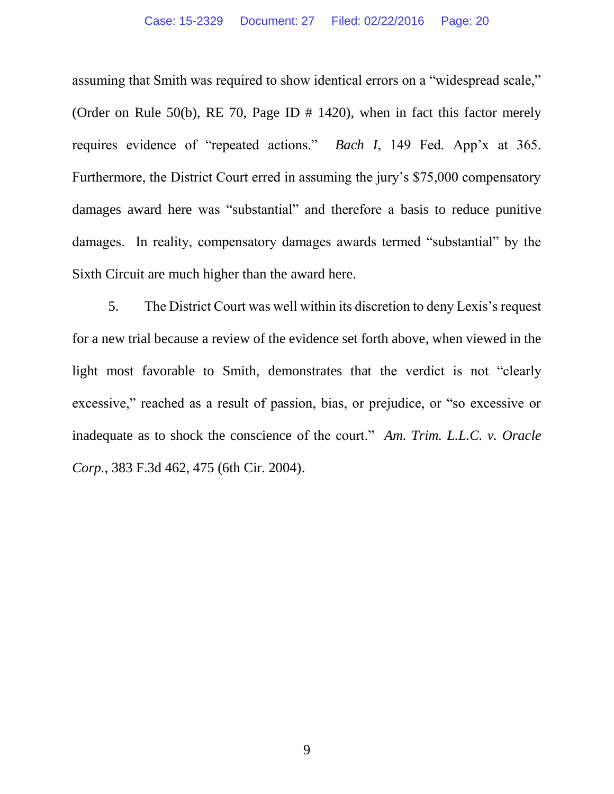assuming that Smith was required to show identical errors on a "widespread scale," (Order on Rule 50(b), RE 70, Page ID # 1420), when in fact this factor merely requires evidence of "repeated actions." *Bach I*, 149 Fed. App'x at 365. Furthermore, the District Court erred in assuming the jury's \$75,000 compensatory damages award here was "substantial" and therefore a basis to reduce punitive damages. In reality, compensatory damages awards termed "substantial" by the Sixth Circuit are much higher than the award here.

5. The District Court was well within its discretion to deny Lexis's request for a new trial because a review of the evidence set forth above, when viewed in the light most favorable to Smith, demonstrates that the verdict is not "clearly excessive," reached as a result of passion, bias, or prejudice, or "so excessive or inadequate as to shock the conscience of the court." *Am. Trim. L.L.C. v. Oracle Corp.*, 383 F.3d 462, 475 (6th Cir. 2004).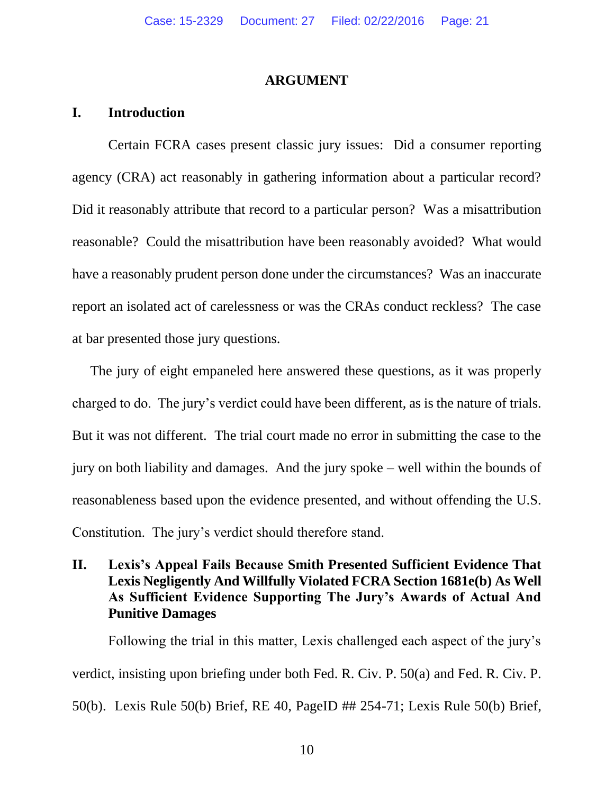#### **ARGUMENT**

#### **I. Introduction**

Certain FCRA cases present classic jury issues: Did a consumer reporting agency (CRA) act reasonably in gathering information about a particular record? Did it reasonably attribute that record to a particular person? Was a misattribution reasonable? Could the misattribution have been reasonably avoided? What would have a reasonably prudent person done under the circumstances? Was an inaccurate report an isolated act of carelessness or was the CRAs conduct reckless? The case at bar presented those jury questions.

The jury of eight empaneled here answered these questions, as it was properly charged to do. The jury's verdict could have been different, as is the nature of trials. But it was not different. The trial court made no error in submitting the case to the jury on both liability and damages. And the jury spoke – well within the bounds of reasonableness based upon the evidence presented, and without offending the U.S. Constitution. The jury's verdict should therefore stand.

#### **II. Lexis's Appeal Fails Because Smith Presented Sufficient Evidence That Lexis Negligently And Willfully Violated FCRA Section 1681e(b) As Well As Sufficient Evidence Supporting The Jury's Awards of Actual And Punitive Damages**

Following the trial in this matter, Lexis challenged each aspect of the jury's verdict, insisting upon briefing under both Fed. R. Civ. P. 50(a) and Fed. R. Civ. P. 50(b). Lexis Rule 50(b) Brief, RE 40, PageID ## 254-71; Lexis Rule 50(b) Brief,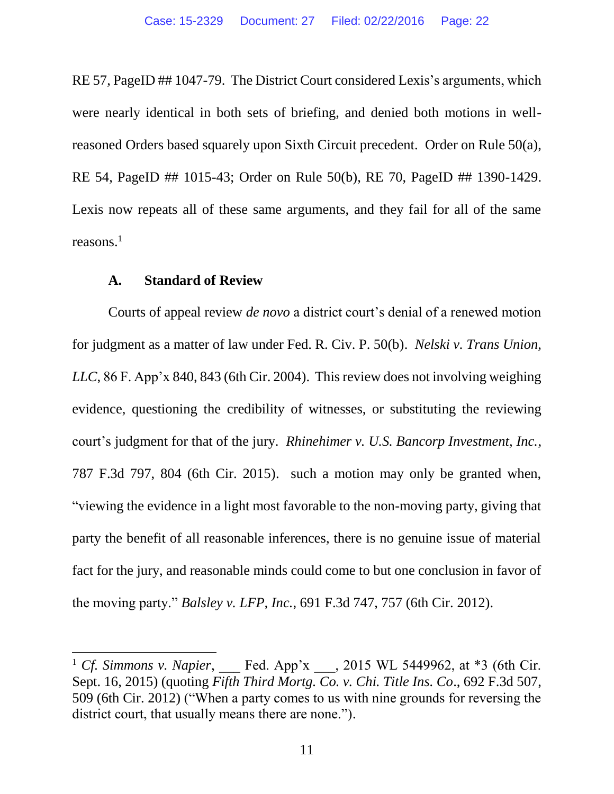RE 57, PageID ## 1047-79. The District Court considered Lexis's arguments, which were nearly identical in both sets of briefing, and denied both motions in wellreasoned Orders based squarely upon Sixth Circuit precedent. Order on Rule 50(a), RE 54, PageID ## 1015-43; Order on Rule 50(b), RE 70, PageID ## 1390-1429. Lexis now repeats all of these same arguments, and they fail for all of the same reasons.<sup>1</sup>

#### **A. Standard of Review**

 $\overline{a}$ 

Courts of appeal review *de novo* a district court's denial of a renewed motion for judgment as a matter of law under Fed. R. Civ. P. 50(b). *Nelski v. Trans Union, LLC*, 86 F. App'x 840, 843 (6th Cir. 2004). This review does not involving weighing evidence, questioning the credibility of witnesses, or substituting the reviewing court's judgment for that of the jury. *Rhinehimer v. U.S. Bancorp Investment, Inc.*, 787 F.3d 797, 804 (6th Cir. 2015). such a motion may only be granted when, "viewing the evidence in a light most favorable to the non-moving party, giving that party the benefit of all reasonable inferences, there is no genuine issue of material fact for the jury, and reasonable minds could come to but one conclusion in favor of the moving party." *Balsley v. LFP, Inc.*, 691 F.3d 747, 757 (6th Cir. 2012).

<sup>&</sup>lt;sup>1</sup> *Cf. Simmons v. Napier*, Fed. App'x , 2015 WL 5449962, at \*3 (6th Cir. Sept. 16, 2015) (quoting *Fifth Third Mortg. Co. v. Chi. Title Ins. Co*., 692 F.3d 507, 509 (6th Cir. 2012) ("When a party comes to us with nine grounds for reversing the district court, that usually means there are none.").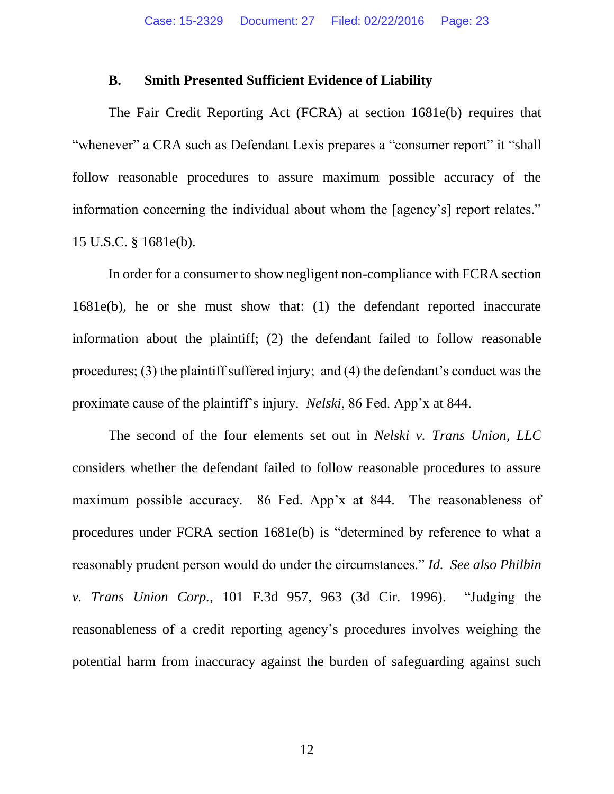#### **B. Smith Presented Sufficient Evidence of Liability**

The Fair Credit Reporting Act (FCRA) at section 1681e(b) requires that "whenever" a CRA such as Defendant Lexis prepares a "consumer report" it "shall follow reasonable procedures to assure maximum possible accuracy of the information concerning the individual about whom the [agency's] report relates." 15 U.S.C. § 1681e(b).

In order for a consumer to show negligent non-compliance with FCRA section 1681e(b), he or she must show that: (1) the defendant reported inaccurate information about the plaintiff; (2) the defendant failed to follow reasonable procedures; (3) the plaintiff suffered injury; and (4) the defendant's conduct was the proximate cause of the plaintiff's injury. *Nelski*, 86 Fed. App'x at 844.

The second of the four elements set out in *Nelski v. Trans Union, LLC* considers whether the defendant failed to follow reasonable procedures to assure maximum possible accuracy. 86 Fed. App'x at 844. The reasonableness of procedures under FCRA section 1681e(b) is "determined by reference to what a reasonably prudent person would do under the circumstances." *Id. See also Philbin v. Trans Union Corp.*, 101 F.3d 957, 963 (3d Cir. 1996). "Judging the reasonableness of a credit reporting agency's procedures involves weighing the potential harm from inaccuracy against the burden of safeguarding against such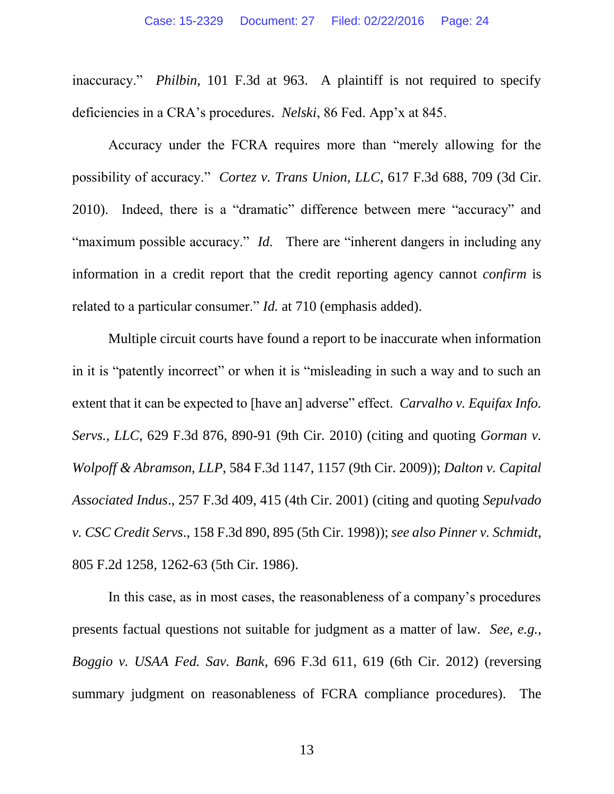inaccuracy." *Philbin,* 101 F.3d at 963. A plaintiff is not required to specify deficiencies in a CRA's procedures. *Nelski*, 86 Fed. App'x at 845.

Accuracy under the FCRA requires more than "merely allowing for the possibility of accuracy." *Cortez v. Trans Union, LLC*, 617 F.3d 688, 709 (3d Cir. 2010). Indeed, there is a "dramatic" difference between mere "accuracy" and "maximum possible accuracy." *Id.* There are "inherent dangers in including any information in a credit report that the credit reporting agency cannot *confirm* is related to a particular consumer." *Id.* at 710 (emphasis added).

Multiple circuit courts have found a report to be inaccurate when information in it is "patently incorrect" or when it is "misleading in such a way and to such an extent that it can be expected to [have an] adverse" effect. *Carvalho v. Equifax Info. Servs., LLC*, 629 F.3d 876, 890-91 (9th Cir. 2010) (citing and quoting *Gorman v. Wolpoff & Abramson, LLP*, 584 F.3d 1147, 1157 (9th Cir. 2009)); *Dalton v. Capital Associated Indus*., 257 F.3d 409, 415 (4th Cir. 2001) (citing and quoting *Sepulvado v. CSC Credit Servs*., 158 F.3d 890, 895 (5th Cir. 1998)); *see also Pinner v. Schmidt*, 805 F.2d 1258, 1262-63 (5th Cir. 1986).

In this case, as in most cases, the reasonableness of a company's procedures presents factual questions not suitable for judgment as a matter of law. *See, e.g.*, *Boggio v. USAA Fed. Sav. Bank*, 696 F.3d 611, 619 (6th Cir. 2012) (reversing summary judgment on reasonableness of FCRA compliance procedures). The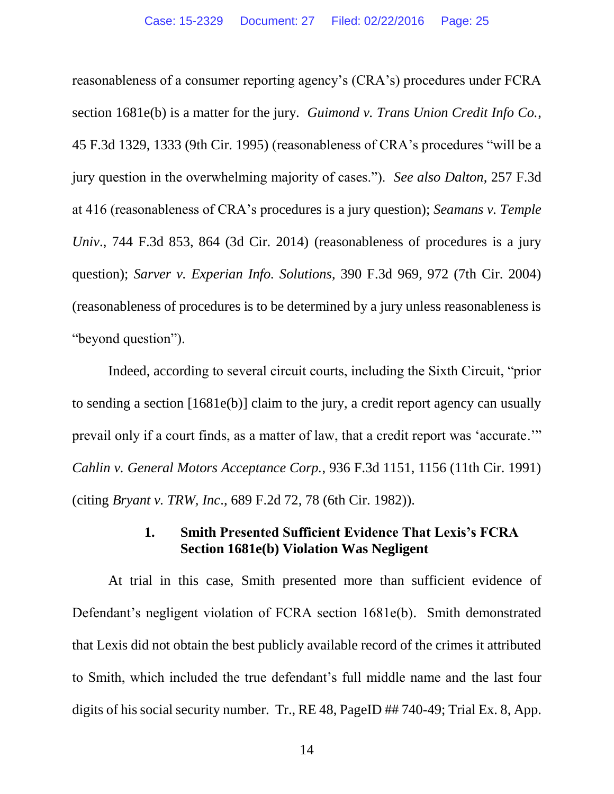reasonableness of a consumer reporting agency's (CRA's) procedures under FCRA section 1681e(b) is a matter for the jury. *Guimond v. Trans Union Credit Info Co.*, 45 F.3d 1329, 1333 (9th Cir. 1995) (reasonableness of CRA's procedures "will be a jury question in the overwhelming majority of cases."). *See also Dalton*, 257 F.3d at 416 (reasonableness of CRA's procedures is a jury question); *Seamans v. Temple Univ.*, 744 F.3d 853, 864 (3d Cir. 2014) (reasonableness of procedures is a jury question); *Sarver v. Experian Info. Solutions*, 390 F.3d 969, 972 (7th Cir. 2004) (reasonableness of procedures is to be determined by a jury unless reasonableness is "beyond question").

Indeed, according to several circuit courts, including the Sixth Circuit, "prior to sending a section [1681e(b)] claim to the jury, a credit report agency can usually prevail only if a court finds, as a matter of law, that a credit report was 'accurate.'" *Cahlin v. General Motors Acceptance Corp.*, 936 F.3d 1151, 1156 (11th Cir. 1991) (citing *Bryant v. TRW, Inc*., 689 F.2d 72, 78 (6th Cir. 1982)).

#### **1. Smith Presented Sufficient Evidence That Lexis's FCRA Section 1681e(b) Violation Was Negligent**

At trial in this case, Smith presented more than sufficient evidence of Defendant's negligent violation of FCRA section 1681e(b). Smith demonstrated that Lexis did not obtain the best publicly available record of the crimes it attributed to Smith, which included the true defendant's full middle name and the last four digits of his social security number. Tr., RE 48, PageID ## 740-49; Trial Ex. 8, App.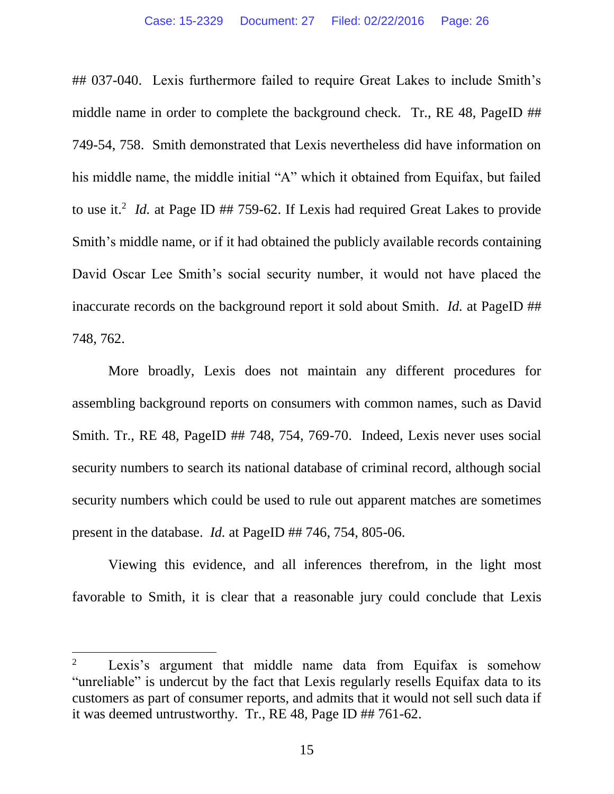## 037-040. Lexis furthermore failed to require Great Lakes to include Smith's middle name in order to complete the background check. Tr., RE 48, PageID ## 749-54, 758. Smith demonstrated that Lexis nevertheless did have information on his middle name, the middle initial "A" which it obtained from Equifax, but failed to use it.<sup>2</sup> *Id.* at Page ID  $#$  759-62. If Lexis had required Great Lakes to provide Smith's middle name, or if it had obtained the publicly available records containing David Oscar Lee Smith's social security number, it would not have placed the inaccurate records on the background report it sold about Smith. *Id.* at PageID ## 748, 762.

More broadly, Lexis does not maintain any different procedures for assembling background reports on consumers with common names, such as David Smith. Tr., RE 48, PageID ## 748, 754, 769-70. Indeed, Lexis never uses social security numbers to search its national database of criminal record, although social security numbers which could be used to rule out apparent matches are sometimes present in the database. *Id.* at PageID ## 746, 754, 805-06.

Viewing this evidence, and all inferences therefrom, in the light most favorable to Smith, it is clear that a reasonable jury could conclude that Lexis

 $\overline{a}$ 

<sup>2</sup> Lexis's argument that middle name data from Equifax is somehow "unreliable" is undercut by the fact that Lexis regularly resells Equifax data to its customers as part of consumer reports, and admits that it would not sell such data if it was deemed untrustworthy. Tr., RE 48, Page ID ## 761-62.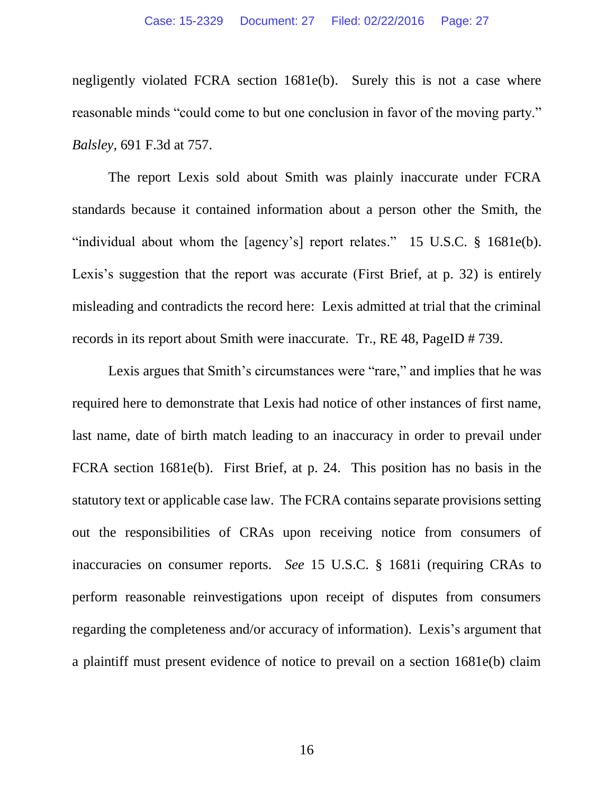negligently violated FCRA section 1681e(b). Surely this is not a case where reasonable minds "could come to but one conclusion in favor of the moving party." *Balsley*, 691 F.3d at 757.

The report Lexis sold about Smith was plainly inaccurate under FCRA standards because it contained information about a person other the Smith, the "individual about whom the [agency's] report relates." 15 U.S.C. § 1681e(b). Lexis's suggestion that the report was accurate (First Brief, at p. 32) is entirely misleading and contradicts the record here: Lexis admitted at trial that the criminal records in its report about Smith were inaccurate. Tr., RE 48, PageID # 739.

Lexis argues that Smith's circumstances were "rare," and implies that he was required here to demonstrate that Lexis had notice of other instances of first name, last name, date of birth match leading to an inaccuracy in order to prevail under FCRA section 1681e(b). First Brief, at p. 24. This position has no basis in the statutory text or applicable case law. The FCRA contains separate provisions setting out the responsibilities of CRAs upon receiving notice from consumers of inaccuracies on consumer reports. *See* 15 U.S.C. § 1681i (requiring CRAs to perform reasonable reinvestigations upon receipt of disputes from consumers regarding the completeness and/or accuracy of information). Lexis's argument that a plaintiff must present evidence of notice to prevail on a section 1681e(b) claim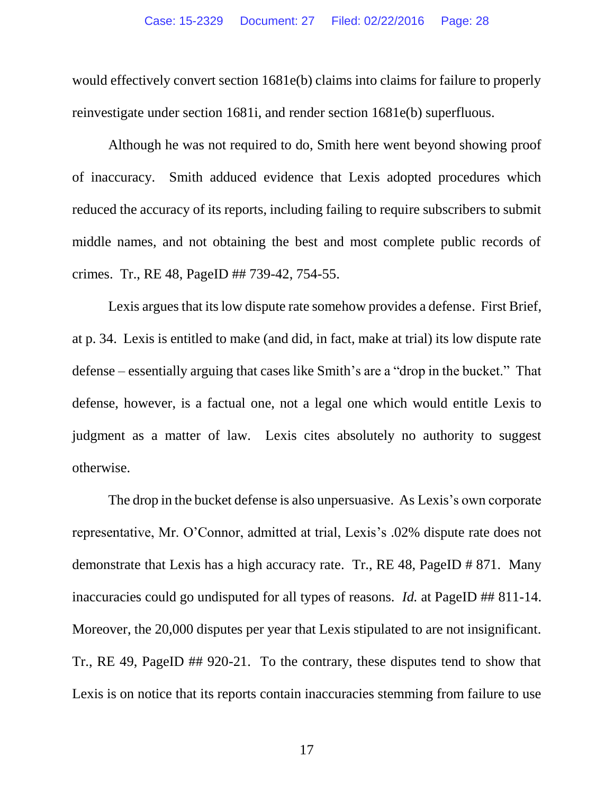would effectively convert section 1681e(b) claims into claims for failure to properly reinvestigate under section 1681i, and render section 1681e(b) superfluous.

Although he was not required to do, Smith here went beyond showing proof of inaccuracy. Smith adduced evidence that Lexis adopted procedures which reduced the accuracy of its reports, including failing to require subscribers to submit middle names, and not obtaining the best and most complete public records of crimes. Tr., RE 48, PageID ## 739-42, 754-55.

Lexis argues that its low dispute rate somehow provides a defense. First Brief, at p. 34. Lexis is entitled to make (and did, in fact, make at trial) its low dispute rate defense – essentially arguing that cases like Smith's are a "drop in the bucket." That defense, however, is a factual one, not a legal one which would entitle Lexis to judgment as a matter of law. Lexis cites absolutely no authority to suggest otherwise.

The drop in the bucket defense is also unpersuasive. As Lexis's own corporate representative, Mr. O'Connor, admitted at trial, Lexis's .02% dispute rate does not demonstrate that Lexis has a high accuracy rate. Tr., RE 48, PageID # 871. Many inaccuracies could go undisputed for all types of reasons. *Id.* at PageID ## 811-14. Moreover, the 20,000 disputes per year that Lexis stipulated to are not insignificant. Tr., RE 49, PageID ## 920-21. To the contrary, these disputes tend to show that Lexis is on notice that its reports contain inaccuracies stemming from failure to use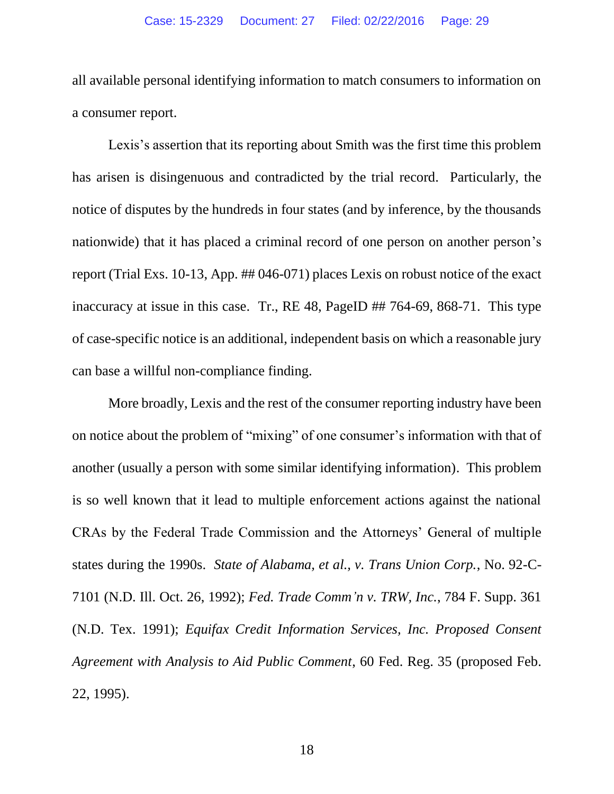all available personal identifying information to match consumers to information on a consumer report.

Lexis's assertion that its reporting about Smith was the first time this problem has arisen is disingenuous and contradicted by the trial record. Particularly, the notice of disputes by the hundreds in four states (and by inference, by the thousands nationwide) that it has placed a criminal record of one person on another person's report (Trial Exs. 10-13, App. ## 046-071) places Lexis on robust notice of the exact inaccuracy at issue in this case. Tr., RE 48, PageID ## 764-69, 868-71. This type of case-specific notice is an additional, independent basis on which a reasonable jury can base a willful non-compliance finding.

More broadly, Lexis and the rest of the consumer reporting industry have been on notice about the problem of "mixing" of one consumer's information with that of another (usually a person with some similar identifying information). This problem is so well known that it lead to multiple enforcement actions against the national CRAs by the Federal Trade Commission and the Attorneys' General of multiple states during the 1990s. *State of Alabama, et al., v. Trans Union Corp.*, No. 92-C-7101 (N.D. Ill. Oct. 26, 1992); *Fed. Trade Comm'n v. TRW, Inc.*, 784 F. Supp. 361 (N.D. Tex. 1991); *Equifax Credit Information Services, Inc. Proposed Consent Agreement with Analysis to Aid Public Comment*, 60 Fed. Reg. 35 (proposed Feb. 22, 1995).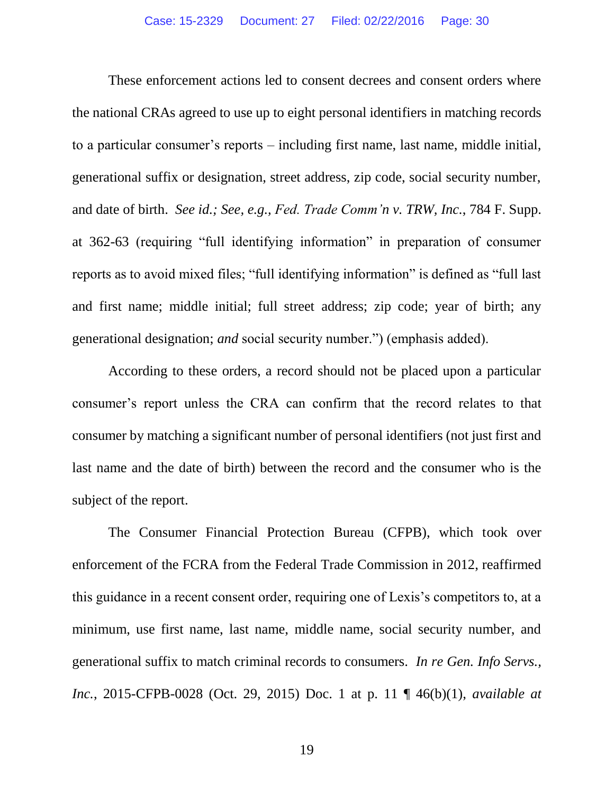These enforcement actions led to consent decrees and consent orders where the national CRAs agreed to use up to eight personal identifiers in matching records to a particular consumer's reports – including first name, last name, middle initial, generational suffix or designation, street address, zip code, social security number, and date of birth. *See id.; See, e.g., Fed. Trade Comm'n v. TRW, Inc.*, 784 F. Supp. at 362-63 (requiring "full identifying information" in preparation of consumer reports as to avoid mixed files; "full identifying information" is defined as "full last and first name; middle initial; full street address; zip code; year of birth; any generational designation; *and* social security number.") (emphasis added).

According to these orders, a record should not be placed upon a particular consumer's report unless the CRA can confirm that the record relates to that consumer by matching a significant number of personal identifiers (not just first and last name and the date of birth) between the record and the consumer who is the subject of the report.

The Consumer Financial Protection Bureau (CFPB), which took over enforcement of the FCRA from the Federal Trade Commission in 2012, reaffirmed this guidance in a recent consent order, requiring one of Lexis's competitors to, at a minimum, use first name, last name, middle name, social security number, and generational suffix to match criminal records to consumers. *In re Gen. Info Servs., Inc.*, 2015-CFPB-0028 (Oct. 29, 2015) Doc. 1 at p. 11 ¶ 46(b)(1), *available at*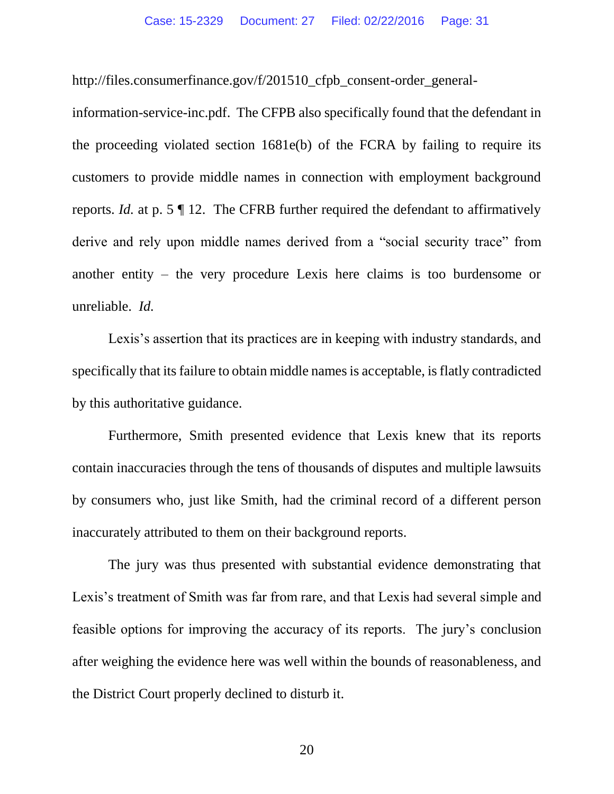http://files.consumerfinance.gov/f/201510\_cfpb\_consent-order\_general-

information-service-inc.pdf. The CFPB also specifically found that the defendant in the proceeding violated section 1681e(b) of the FCRA by failing to require its customers to provide middle names in connection with employment background reports. *Id.* at p. 5 ¶ 12. The CFRB further required the defendant to affirmatively derive and rely upon middle names derived from a "social security trace" from another entity – the very procedure Lexis here claims is too burdensome or unreliable. *Id.*

Lexis's assertion that its practices are in keeping with industry standards, and specifically that its failure to obtain middle names is acceptable, is flatly contradicted by this authoritative guidance.

Furthermore, Smith presented evidence that Lexis knew that its reports contain inaccuracies through the tens of thousands of disputes and multiple lawsuits by consumers who, just like Smith, had the criminal record of a different person inaccurately attributed to them on their background reports.

The jury was thus presented with substantial evidence demonstrating that Lexis's treatment of Smith was far from rare, and that Lexis had several simple and feasible options for improving the accuracy of its reports. The jury's conclusion after weighing the evidence here was well within the bounds of reasonableness, and the District Court properly declined to disturb it.

20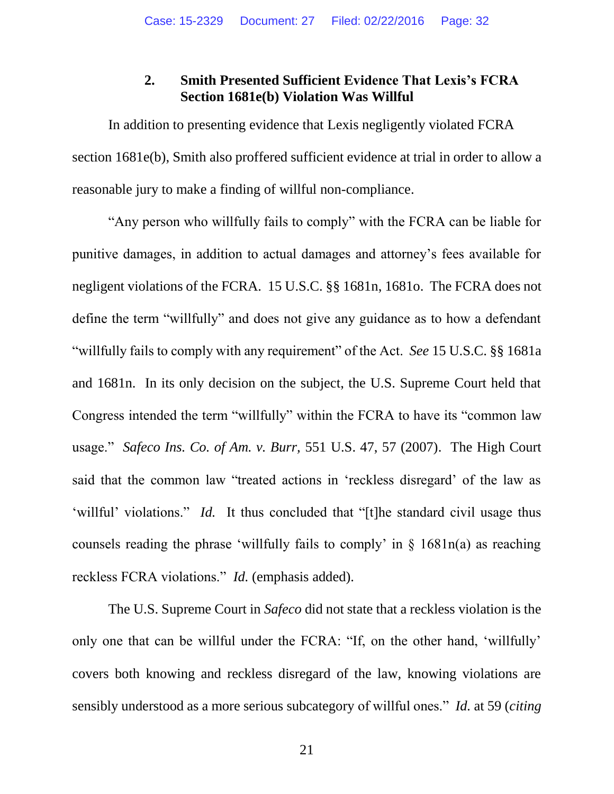#### **2. Smith Presented Sufficient Evidence That Lexis's FCRA Section 1681e(b) Violation Was Willful**

In addition to presenting evidence that Lexis negligently violated FCRA section 1681e(b), Smith also proffered sufficient evidence at trial in order to allow a reasonable jury to make a finding of willful non-compliance.

"Any person who willfully fails to comply" with the FCRA can be liable for punitive damages, in addition to actual damages and attorney's fees available for negligent violations of the FCRA. 15 U.S.C. §§ 1681n, 1681o. The FCRA does not define the term "willfully" and does not give any guidance as to how a defendant "willfully fails to comply with any requirement" of the Act. *See* 15 U.S.C. §§ 1681a and 1681n. In its only decision on the subject, the U.S. Supreme Court held that Congress intended the term "willfully" within the FCRA to have its "common law usage." *Safeco Ins. Co. of Am. v. Burr,* 551 U.S. 47, 57 (2007). The High Court said that the common law "treated actions in 'reckless disregard' of the law as 'willful' violations." *Id.* It thus concluded that "[t]he standard civil usage thus counsels reading the phrase 'willfully fails to comply' in § 1681n(a) as reaching reckless FCRA violations." *Id.* (emphasis added).

The U.S. Supreme Court in *Safeco* did not state that a reckless violation is the only one that can be willful under the FCRA: "If, on the other hand, 'willfully' covers both knowing and reckless disregard of the law, knowing violations are sensibly understood as a more serious subcategory of willful ones." *Id.* at 59 (*citing*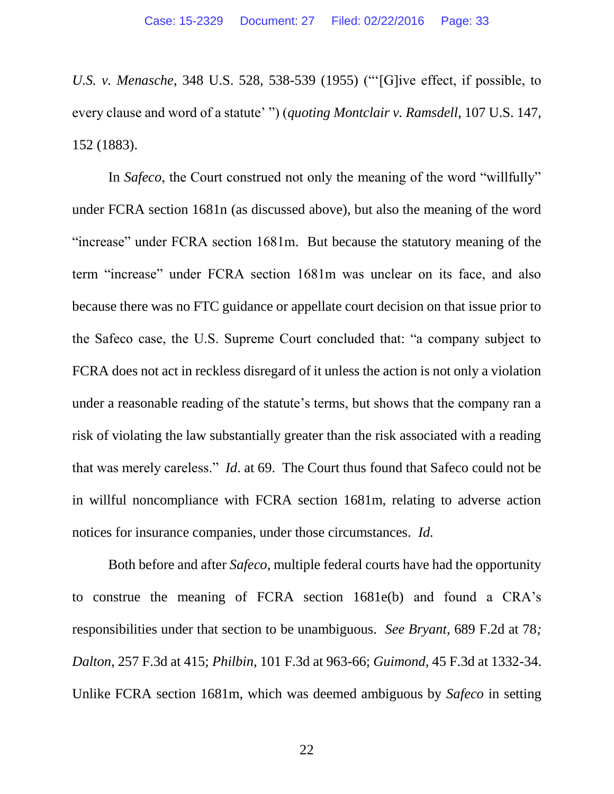*U.S. v. Menasche*, 348 U.S. 528, 538-539 (1955) ("'[G]ive effect, if possible, to every clause and word of a statute' ") (*quoting Montclair v. Ramsdell*, 107 U.S. 147, 152 (1883).

In *Safeco*, the Court construed not only the meaning of the word "willfully" under FCRA section 1681n (as discussed above), but also the meaning of the word "increase" under FCRA section 1681m. But because the statutory meaning of the term "increase" under FCRA section 1681m was unclear on its face, and also because there was no FTC guidance or appellate court decision on that issue prior to the Safeco case, the U.S. Supreme Court concluded that: "a company subject to FCRA does not act in reckless disregard of it unless the action is not only a violation under a reasonable reading of the statute's terms, but shows that the company ran a risk of violating the law substantially greater than the risk associated with a reading that was merely careless." *Id*. at 69. The Court thus found that Safeco could not be in willful noncompliance with FCRA section 1681m, relating to adverse action notices for insurance companies, under those circumstances. *Id.*

Both before and after *Safeco*, multiple federal courts have had the opportunity to construe the meaning of FCRA section 1681e(b) and found a CRA's responsibilities under that section to be unambiguous. *See Bryant*, 689 F.2d at 78*; Dalton*, 257 F.3d at 415; *Philbin*, 101 F.3d at 963-66; *Guimond*, 45 F.3d at 1332-34. Unlike FCRA section 1681m, which was deemed ambiguous by *Safeco* in setting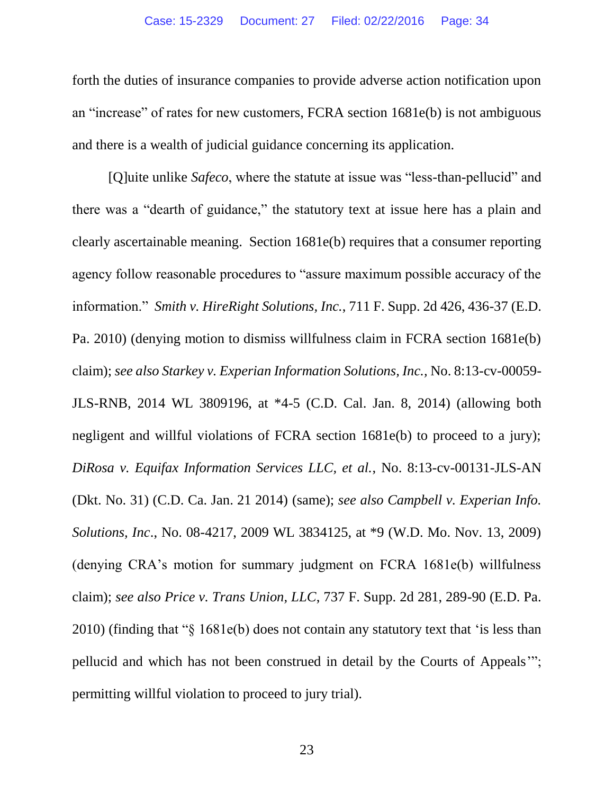forth the duties of insurance companies to provide adverse action notification upon an "increase" of rates for new customers, FCRA section 1681e(b) is not ambiguous and there is a wealth of judicial guidance concerning its application.

[Q]uite unlike *Safeco*, where the statute at issue was "less-than-pellucid" and there was a "dearth of guidance," the statutory text at issue here has a plain and clearly ascertainable meaning. Section 1681e(b) requires that a consumer reporting agency follow reasonable procedures to "assure maximum possible accuracy of the information." *Smith v. HireRight Solutions, Inc.*, 711 F. Supp. 2d 426, 436-37 (E.D. Pa. 2010) (denying motion to dismiss willfulness claim in FCRA section 1681e(b) claim); *see also Starkey v. Experian Information Solutions, Inc.,* No. 8:13-cv-00059- JLS-RNB, 2014 WL 3809196, at \*4-5 (C.D. Cal. Jan. 8, 2014) (allowing both negligent and willful violations of FCRA section 1681e(b) to proceed to a jury); *DiRosa v. Equifax Information Services LLC, et al.*, No. 8:13-cv-00131-JLS-AN (Dkt. No. 31) (C.D. Ca. Jan. 21 2014) (same); *see also Campbell v. Experian Info. Solutions, Inc*., No. 08-4217, 2009 WL 3834125, at \*9 (W.D. Mo. Nov. 13, 2009) (denying CRA's motion for summary judgment on FCRA 1681e(b) willfulness claim); *see also Price v. Trans Union, LLC*, 737 F. Supp. 2d 281, 289-90 (E.D. Pa. 2010) (finding that "§ 1681e(b) does not contain any statutory text that 'is less than pellucid and which has not been construed in detail by the Courts of Appeals'"; permitting willful violation to proceed to jury trial)*.*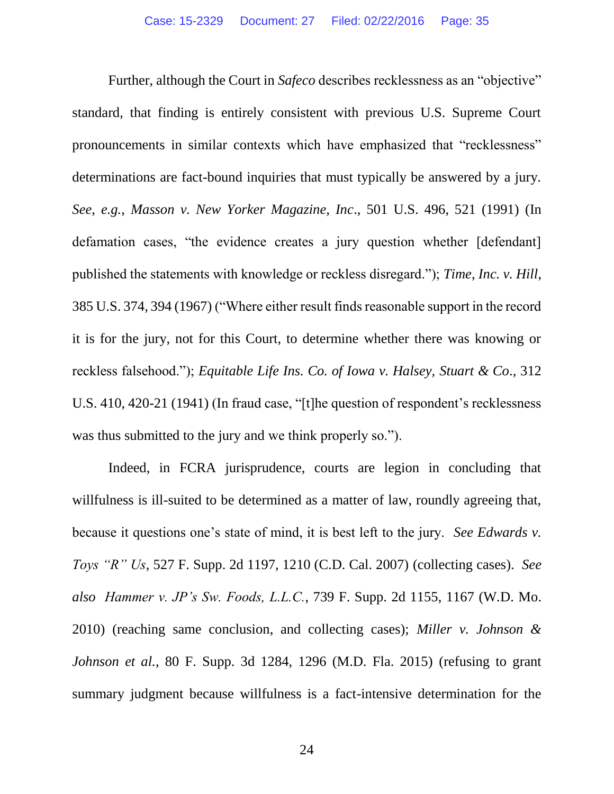Further, although the Court in *Safeco* describes recklessness as an "objective" standard, that finding is entirely consistent with previous U.S. Supreme Court pronouncements in similar contexts which have emphasized that "recklessness" determinations are fact-bound inquiries that must typically be answered by a jury. *See*, *e.g.*, *Masson v. New Yorker Magazine, Inc*., 501 U.S. 496, 521 (1991) (In defamation cases, "the evidence creates a jury question whether [defendant] published the statements with knowledge or reckless disregard."); *Time, Inc. v. Hill*, 385 U.S. 374, 394 (1967) ("Where either result finds reasonable support in the record it is for the jury, not for this Court, to determine whether there was knowing or reckless falsehood."); *Equitable Life Ins. Co. of Iowa v. Halsey, Stuart & Co*., 312 U.S. 410, 420-21 (1941) (In fraud case, "[t]he question of respondent's recklessness was thus submitted to the jury and we think properly so.").

Indeed, in FCRA jurisprudence, courts are legion in concluding that willfulness is ill-suited to be determined as a matter of law, roundly agreeing that, because it questions one's state of mind, it is best left to the jury. *See Edwards v. Toys "R" Us*, 527 F. Supp. 2d 1197, 1210 (C.D. Cal. 2007) (collecting cases). *See also Hammer v. JP's Sw. Foods, L.L.C.*, 739 F. Supp. 2d 1155, 1167 (W.D. Mo. 2010) (reaching same conclusion, and collecting cases); *Miller v. Johnson & Johnson et al.*, 80 F. Supp. 3d 1284, 1296 (M.D. Fla. 2015) (refusing to grant summary judgment because willfulness is a fact-intensive determination for the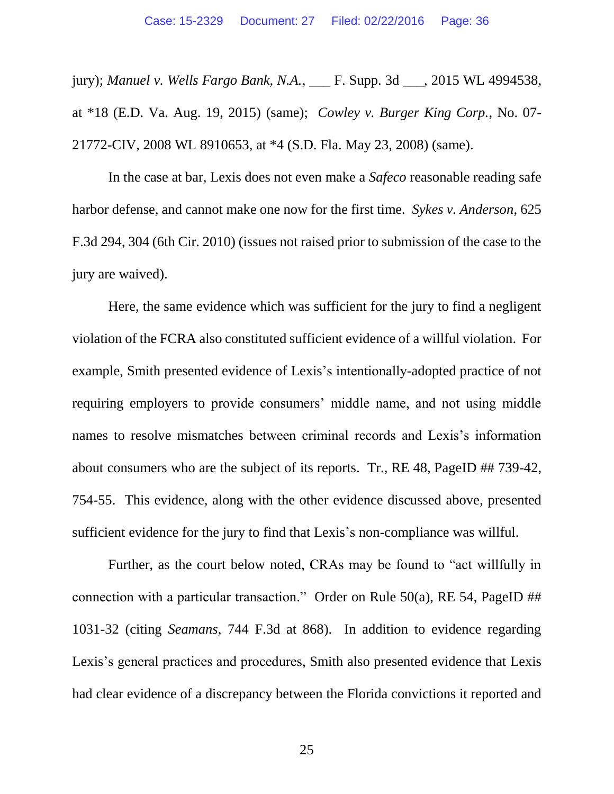jury); *Manuel v. Wells Fargo Bank, N.A.*, \_\_\_ F. Supp. 3d \_\_\_, 2015 WL 4994538, at \*18 (E.D. Va. Aug. 19, 2015) (same); *Cowley v. Burger King Corp.*, No. 07- 21772-CIV, 2008 WL 8910653, at \*4 (S.D. Fla. May 23, 2008) (same).

In the case at bar, Lexis does not even make a *Safeco* reasonable reading safe harbor defense, and cannot make one now for the first time. *Sykes v. Anderson*, 625 F.3d 294, 304 (6th Cir. 2010) (issues not raised prior to submission of the case to the jury are waived).

Here, the same evidence which was sufficient for the jury to find a negligent violation of the FCRA also constituted sufficient evidence of a willful violation. For example, Smith presented evidence of Lexis's intentionally-adopted practice of not requiring employers to provide consumers' middle name, and not using middle names to resolve mismatches between criminal records and Lexis's information about consumers who are the subject of its reports. Tr., RE 48, PageID ## 739-42, 754-55. This evidence, along with the other evidence discussed above, presented sufficient evidence for the jury to find that Lexis's non-compliance was willful.

Further, as the court below noted, CRAs may be found to "act willfully in connection with a particular transaction." Order on Rule  $50(a)$ , RE 54, PageID ## 1031-32 (citing *Seamans*, 744 F.3d at 868). In addition to evidence regarding Lexis's general practices and procedures, Smith also presented evidence that Lexis had clear evidence of a discrepancy between the Florida convictions it reported and

25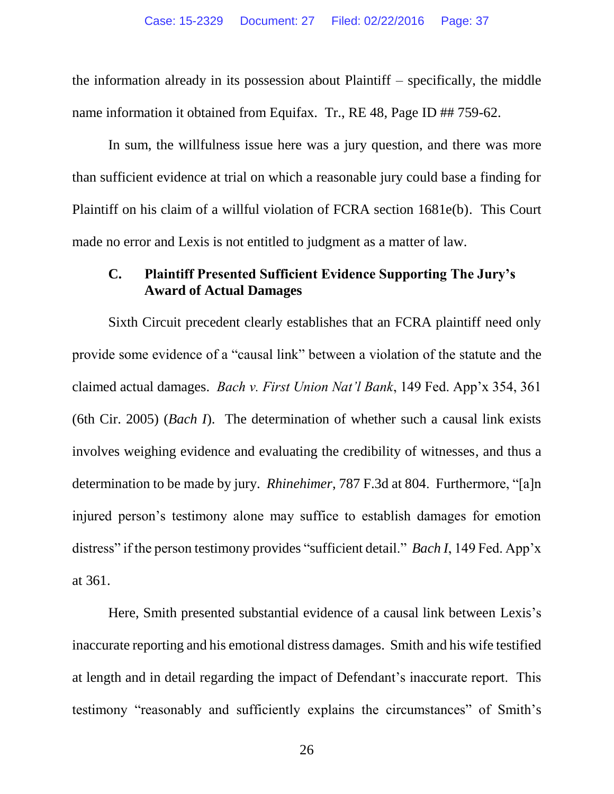the information already in its possession about Plaintiff – specifically, the middle name information it obtained from Equifax. Tr., RE 48, Page ID ## 759-62.

In sum, the willfulness issue here was a jury question, and there was more than sufficient evidence at trial on which a reasonable jury could base a finding for Plaintiff on his claim of a willful violation of FCRA section 1681e(b). This Court made no error and Lexis is not entitled to judgment as a matter of law.

#### **C. Plaintiff Presented Sufficient Evidence Supporting The Jury's Award of Actual Damages**

Sixth Circuit precedent clearly establishes that an FCRA plaintiff need only provide some evidence of a "causal link" between a violation of the statute and the claimed actual damages. *Bach v. First Union Nat'l Bank*, 149 Fed. App'x 354, 361 (6th Cir. 2005) (*Bach I*). The determination of whether such a causal link exists involves weighing evidence and evaluating the credibility of witnesses, and thus a determination to be made by jury. *Rhinehimer*, 787 F.3d at 804. Furthermore, "[a]n injured person's testimony alone may suffice to establish damages for emotion distress" if the person testimony provides "sufficient detail." *Bach I*, 149 Fed. App'x at 361.

Here, Smith presented substantial evidence of a causal link between Lexis's inaccurate reporting and his emotional distress damages. Smith and his wife testified at length and in detail regarding the impact of Defendant's inaccurate report. This testimony "reasonably and sufficiently explains the circumstances" of Smith's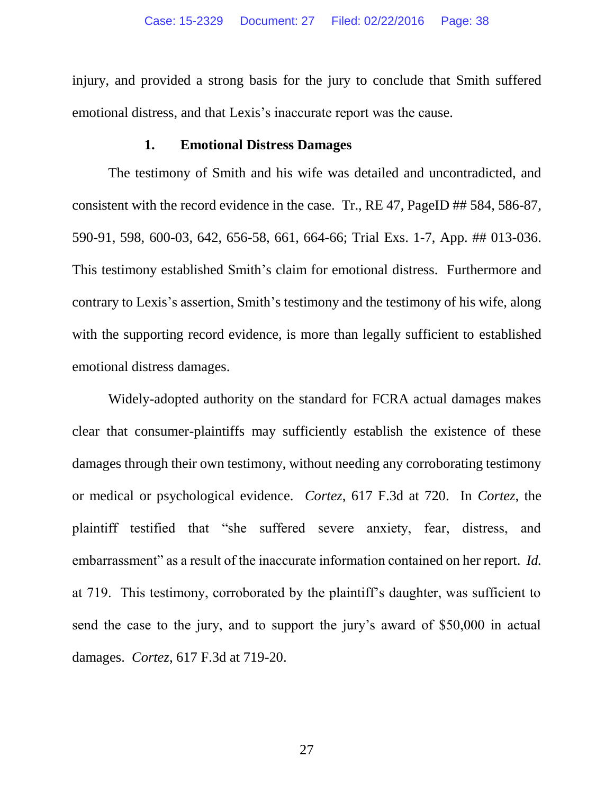injury, and provided a strong basis for the jury to conclude that Smith suffered emotional distress, and that Lexis's inaccurate report was the cause.

#### **1. Emotional Distress Damages**

The testimony of Smith and his wife was detailed and uncontradicted, and consistent with the record evidence in the case. Tr., RE 47, PageID ## 584, 586-87, 590-91, 598, 600-03, 642, 656-58, 661, 664-66; Trial Exs. 1-7, App. ## 013-036. This testimony established Smith's claim for emotional distress. Furthermore and contrary to Lexis's assertion, Smith's testimony and the testimony of his wife, along with the supporting record evidence, is more than legally sufficient to established emotional distress damages.

Widely-adopted authority on the standard for FCRA actual damages makes clear that consumer-plaintiffs may sufficiently establish the existence of these damages through their own testimony, without needing any corroborating testimony or medical or psychological evidence. *Cortez*, 617 F.3d at 720. In *Cortez*, the plaintiff testified that "she suffered severe anxiety, fear, distress, and embarrassment" as a result of the inaccurate information contained on her report. *Id.* at 719. This testimony, corroborated by the plaintiff's daughter, was sufficient to send the case to the jury, and to support the jury's award of \$50,000 in actual damages. *Cortez*, 617 F.3d at 719-20.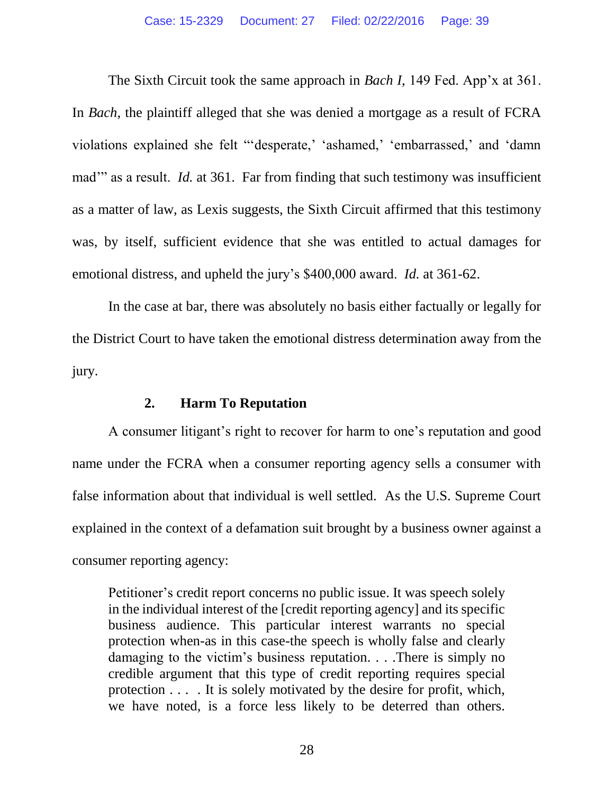The Sixth Circuit took the same approach in *Bach I,* 149 Fed. App'x at 361. In *Bach*, the plaintiff alleged that she was denied a mortgage as a result of FCRA violations explained she felt "'desperate,' 'ashamed,' 'embarrassed,' and 'damn mad" as a result. *Id.* at 361. Far from finding that such testimony was insufficient as a matter of law, as Lexis suggests, the Sixth Circuit affirmed that this testimony was, by itself, sufficient evidence that she was entitled to actual damages for emotional distress, and upheld the jury's \$400,000 award. *Id.* at 361-62.

In the case at bar, there was absolutely no basis either factually or legally for the District Court to have taken the emotional distress determination away from the jury.

#### **2. Harm To Reputation**

A consumer litigant's right to recover for harm to one's reputation and good name under the FCRA when a consumer reporting agency sells a consumer with false information about that individual is well settled. As the U.S. Supreme Court explained in the context of a defamation suit brought by a business owner against a consumer reporting agency:

Petitioner's credit report concerns no public issue. It was speech solely in the individual interest of the [credit reporting agency] and its specific business audience. This particular interest warrants no special protection when-as in this case-the speech is wholly false and clearly damaging to the victim's business reputation. . . .There is simply no credible argument that this type of credit reporting requires special protection . . . . It is solely motivated by the desire for profit, which, we have noted, is a force less likely to be deterred than others.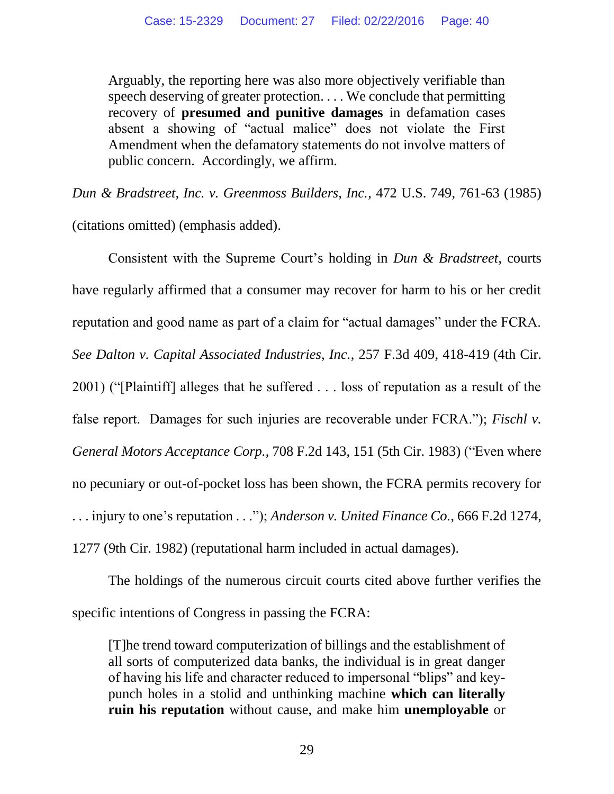Arguably, the reporting here was also more objectively verifiable than speech deserving of greater protection. . . . We conclude that permitting recovery of **presumed and punitive damages** in defamation cases absent a showing of "actual malice" does not violate the First Amendment when the defamatory statements do not involve matters of public concern. Accordingly, we affirm.

*Dun & Bradstreet, Inc. v. Greenmoss Builders, Inc.*, 472 U.S. 749, 761-63 (1985) (citations omitted) (emphasis added).

Consistent with the Supreme Court's holding in *Dun & Bradstreet*, courts have regularly affirmed that a consumer may recover for harm to his or her credit reputation and good name as part of a claim for "actual damages" under the FCRA. *See Dalton v. Capital Associated Industries, Inc.*, 257 F.3d 409, 418-419 (4th Cir. 2001) ("[Plaintiff] alleges that he suffered . . . loss of reputation as a result of the false report. Damages for such injuries are recoverable under FCRA."); *Fischl v. General Motors Acceptance Corp.*, 708 F.2d 143, 151 (5th Cir. 1983) ("Even where no pecuniary or out-of-pocket loss has been shown, the FCRA permits recovery for . . . injury to one's reputation . . ."); *Anderson v. United Finance Co.*, 666 F.2d 1274, 1277 (9th Cir. 1982) (reputational harm included in actual damages).

The holdings of the numerous circuit courts cited above further verifies the specific intentions of Congress in passing the FCRA:

[T]he trend toward computerization of billings and the establishment of all sorts of computerized data banks, the individual is in great danger of having his life and character reduced to impersonal "blips" and keypunch holes in a stolid and unthinking machine **which can literally ruin his reputation** without cause, and make him **unemployable** or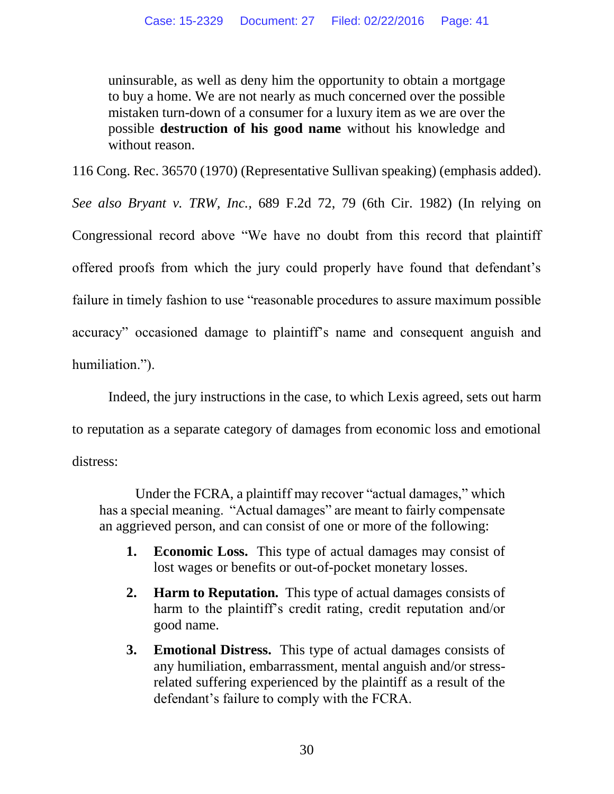uninsurable, as well as deny him the opportunity to obtain a mortgage to buy a home. We are not nearly as much concerned over the possible mistaken turn-down of a consumer for a luxury item as we are over the possible **destruction of his good name** without his knowledge and without reason.

116 Cong. Rec. 36570 (1970) (Representative Sullivan speaking) (emphasis added).

*See also Bryant v. TRW, Inc.,* 689 F.2d 72, 79 (6th Cir. 1982) (In relying on Congressional record above "We have no doubt from this record that plaintiff offered proofs from which the jury could properly have found that defendant's failure in timely fashion to use "reasonable procedures to assure maximum possible accuracy" occasioned damage to plaintiff's name and consequent anguish and humiliation.").

Indeed, the jury instructions in the case, to which Lexis agreed, sets out harm to reputation as a separate category of damages from economic loss and emotional distress:

Under the FCRA, a plaintiff may recover "actual damages," which has a special meaning. "Actual damages" are meant to fairly compensate an aggrieved person, and can consist of one or more of the following:

- **1. Economic Loss.** This type of actual damages may consist of lost wages or benefits or out-of-pocket monetary losses.
- **2. Harm to Reputation.** This type of actual damages consists of harm to the plaintiff's credit rating, credit reputation and/or good name.
- **3. Emotional Distress.** This type of actual damages consists of any humiliation, embarrassment, mental anguish and/or stressrelated suffering experienced by the plaintiff as a result of the defendant's failure to comply with the FCRA.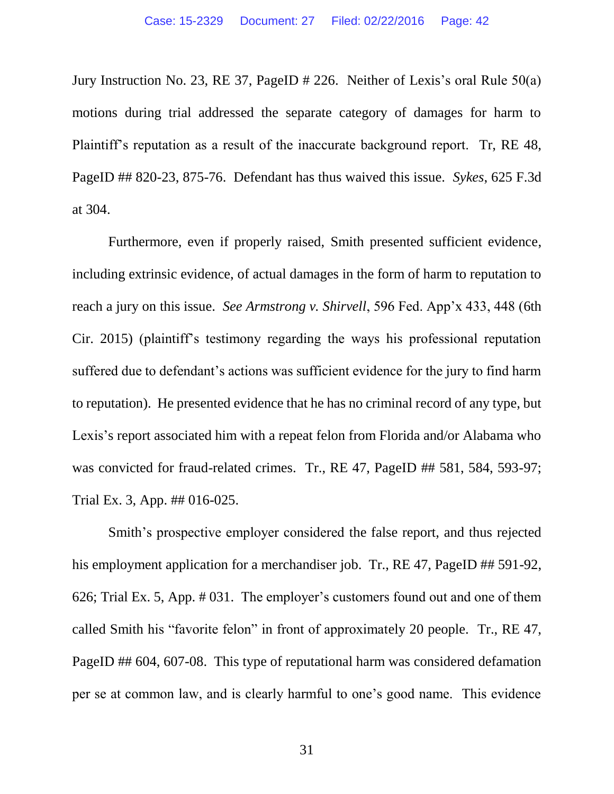Jury Instruction No. 23, RE 37, PageID # 226. Neither of Lexis's oral Rule 50(a) motions during trial addressed the separate category of damages for harm to Plaintiff's reputation as a result of the inaccurate background report. Tr, RE 48, PageID ## 820-23, 875-76. Defendant has thus waived this issue. *Sykes*, 625 F.3d at 304.

Furthermore, even if properly raised, Smith presented sufficient evidence, including extrinsic evidence, of actual damages in the form of harm to reputation to reach a jury on this issue. *See Armstrong v. Shirvell*, 596 Fed. App'x 433, 448 (6th Cir. 2015) (plaintiff's testimony regarding the ways his professional reputation suffered due to defendant's actions was sufficient evidence for the jury to find harm to reputation). He presented evidence that he has no criminal record of any type, but Lexis's report associated him with a repeat felon from Florida and/or Alabama who was convicted for fraud-related crimes. Tr., RE 47, PageID ## 581, 584, 593-97; Trial Ex. 3, App. ## 016-025.

Smith's prospective employer considered the false report, and thus rejected his employment application for a merchandiser job. Tr., RE 47, PageID ## 591-92, 626; Trial Ex. 5, App. # 031. The employer's customers found out and one of them called Smith his "favorite felon" in front of approximately 20 people. Tr., RE 47, PageID ## 604, 607-08. This type of reputational harm was considered defamation per se at common law, and is clearly harmful to one's good name. This evidence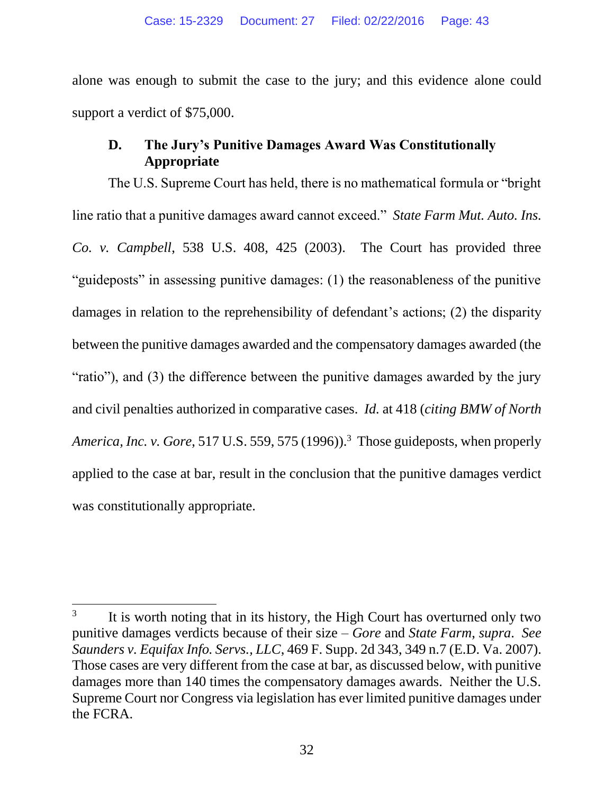alone was enough to submit the case to the jury; and this evidence alone could support a verdict of \$75,000.

#### **D. The Jury's Punitive Damages Award Was Constitutionally Appropriate**

The U.S. Supreme Court has held, there is no mathematical formula or "bright line ratio that a punitive damages award cannot exceed." *State Farm Mut. Auto. Ins. Co. v. Campbell*, 538 U.S. 408, 425 (2003). The Court has provided three "guideposts" in assessing punitive damages: (1) the reasonableness of the punitive damages in relation to the reprehensibility of defendant's actions; (2) the disparity between the punitive damages awarded and the compensatory damages awarded (the "ratio"), and (3) the difference between the punitive damages awarded by the jury and civil penalties authorized in comparative cases. *Id.* at 418 (*citing BMW of North America, Inc. v. Gore*, 517 U.S. 559, 575 (1996)). 3 Those guideposts, when properly applied to the case at bar, result in the conclusion that the punitive damages verdict was constitutionally appropriate.

 $\overline{a}$ 

<sup>3</sup> It is worth noting that in its history, the High Court has overturned only two punitive damages verdicts because of their size – *Gore* and *State Farm*, *supra*. *See Saunders v. Equifax Info. Servs., LLC*, 469 F. Supp. 2d 343, 349 n.7 (E.D. Va. 2007). Those cases are very different from the case at bar, as discussed below, with punitive damages more than 140 times the compensatory damages awards. Neither the U.S. Supreme Court nor Congress via legislation has ever limited punitive damages under the FCRA.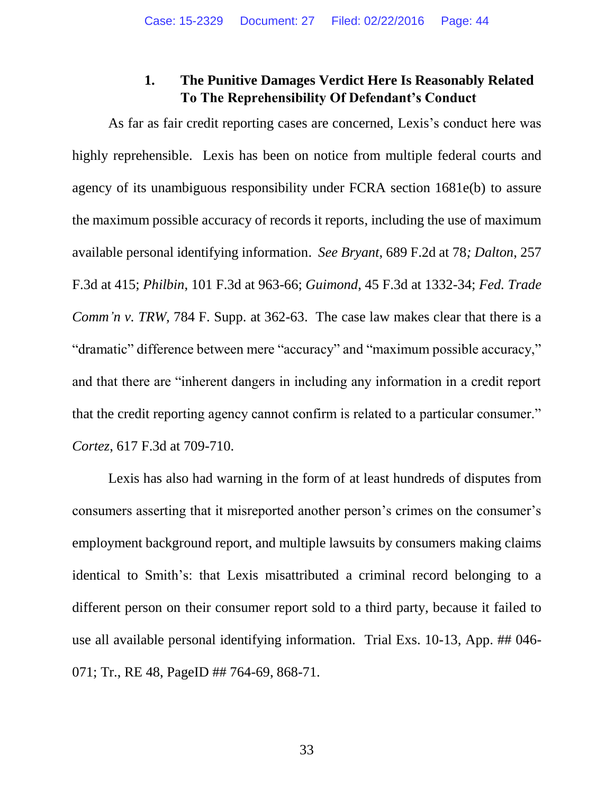#### **1. The Punitive Damages Verdict Here Is Reasonably Related To The Reprehensibility Of Defendant's Conduct**

As far as fair credit reporting cases are concerned, Lexis's conduct here was highly reprehensible. Lexis has been on notice from multiple federal courts and agency of its unambiguous responsibility under FCRA section 1681e(b) to assure the maximum possible accuracy of records it reports, including the use of maximum available personal identifying information. *See Bryant*, 689 F.2d at 78*; Dalton*, 257 F.3d at 415; *Philbin*, 101 F.3d at 963-66; *Guimond*, 45 F.3d at 1332-34; *Fed. Trade Comm'n v. TRW, 784 F. Supp. at 362-63. The case law makes clear that there is a* "dramatic" difference between mere "accuracy" and "maximum possible accuracy," and that there are "inherent dangers in including any information in a credit report that the credit reporting agency cannot confirm is related to a particular consumer." *Cortez*, 617 F.3d at 709-710.

Lexis has also had warning in the form of at least hundreds of disputes from consumers asserting that it misreported another person's crimes on the consumer's employment background report, and multiple lawsuits by consumers making claims identical to Smith's: that Lexis misattributed a criminal record belonging to a different person on their consumer report sold to a third party, because it failed to use all available personal identifying information. Trial Exs. 10-13, App. ## 046- 071; Tr., RE 48, PageID ## 764-69, 868-71.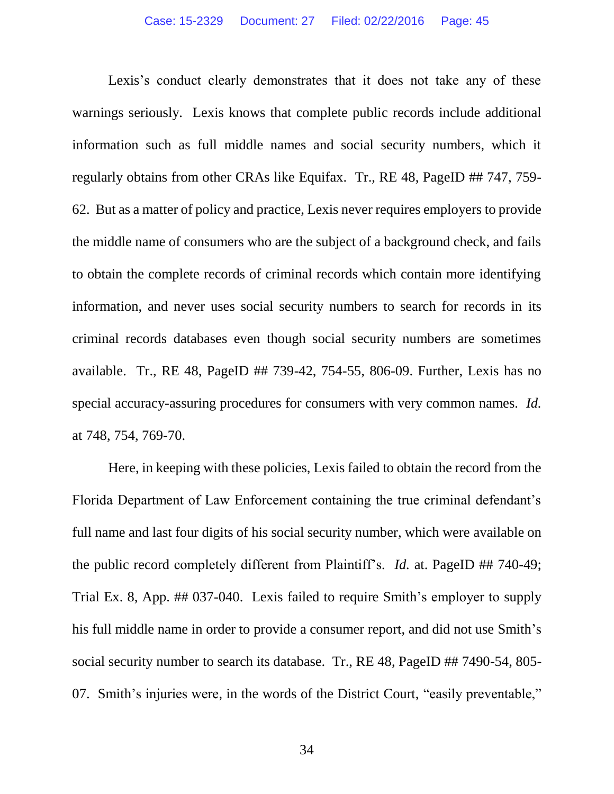Lexis's conduct clearly demonstrates that it does not take any of these warnings seriously. Lexis knows that complete public records include additional information such as full middle names and social security numbers, which it regularly obtains from other CRAs like Equifax. Tr., RE 48, PageID ## 747, 759- 62. But as a matter of policy and practice, Lexis never requires employers to provide the middle name of consumers who are the subject of a background check, and fails to obtain the complete records of criminal records which contain more identifying information, and never uses social security numbers to search for records in its criminal records databases even though social security numbers are sometimes available. Tr., RE 48, PageID ## 739-42, 754-55, 806-09. Further, Lexis has no special accuracy-assuring procedures for consumers with very common names. *Id.* at 748, 754, 769-70.

Here, in keeping with these policies, Lexis failed to obtain the record from the Florida Department of Law Enforcement containing the true criminal defendant's full name and last four digits of his social security number, which were available on the public record completely different from Plaintiff's. *Id.* at. PageID ## 740-49; Trial Ex. 8, App. ## 037-040. Lexis failed to require Smith's employer to supply his full middle name in order to provide a consumer report, and did not use Smith's social security number to search its database. Tr., RE 48, PageID ## 7490-54, 805- 07. Smith's injuries were, in the words of the District Court, "easily preventable,"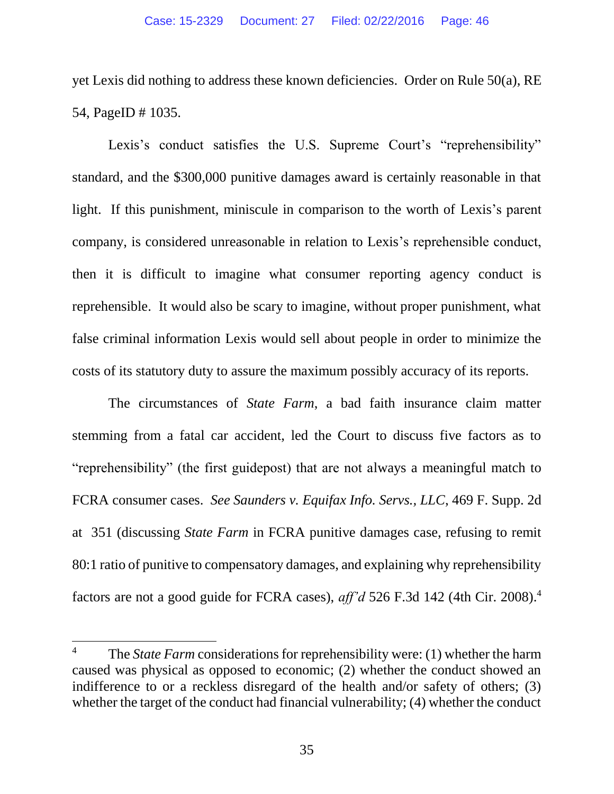yet Lexis did nothing to address these known deficiencies. Order on Rule 50(a), RE 54, PageID # 1035.

Lexis's conduct satisfies the U.S. Supreme Court's "reprehensibility" standard, and the \$300,000 punitive damages award is certainly reasonable in that light. If this punishment, miniscule in comparison to the worth of Lexis's parent company, is considered unreasonable in relation to Lexis's reprehensible conduct, then it is difficult to imagine what consumer reporting agency conduct is reprehensible. It would also be scary to imagine, without proper punishment, what false criminal information Lexis would sell about people in order to minimize the costs of its statutory duty to assure the maximum possibly accuracy of its reports.

The circumstances of *State Farm*, a bad faith insurance claim matter stemming from a fatal car accident, led the Court to discuss five factors as to "reprehensibility" (the first guidepost) that are not always a meaningful match to FCRA consumer cases. *See Saunders v. Equifax Info. Servs., LLC*, 469 F. Supp. 2d at 351 (discussing *State Farm* in FCRA punitive damages case, refusing to remit 80:1 ratio of punitive to compensatory damages, and explaining why reprehensibility factors are not a good guide for FCRA cases), *aff'd* 526 F.3d 142 (4th Cir. 2008).<sup>4</sup>

 $\overline{a}$ 

<sup>&</sup>lt;sup>4</sup> The *State Farm* considerations for reprehensibility were: (1) whether the harm caused was physical as opposed to economic; (2) whether the conduct showed an indifference to or a reckless disregard of the health and/or safety of others; (3) whether the target of the conduct had financial vulnerability; (4) whether the conduct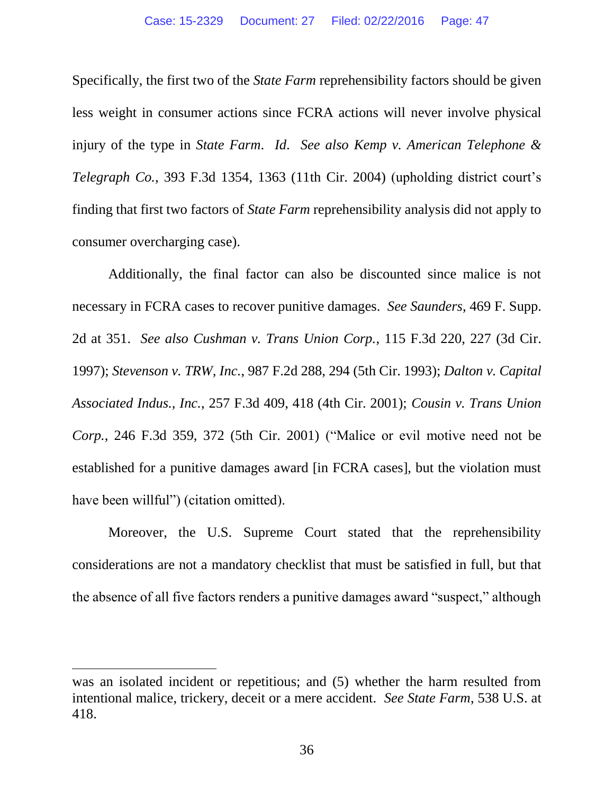Specifically, the first two of the *State Farm* reprehensibility factors should be given less weight in consumer actions since FCRA actions will never involve physical injury of the type in *State Farm*. *Id*. *See also Kemp v. American Telephone & Telegraph Co.*, 393 F.3d 1354, 1363 (11th Cir. 2004) (upholding district court's finding that first two factors of *State Farm* reprehensibility analysis did not apply to consumer overcharging case).

Additionally, the final factor can also be discounted since malice is not necessary in FCRA cases to recover punitive damages. *See Saunders*, 469 F. Supp. 2d at 351. *See also Cushman v. Trans Union Corp.*, 115 F.3d 220, 227 (3d Cir. 1997); *Stevenson v. TRW, Inc.*, 987 F.2d 288, 294 (5th Cir. 1993); *Dalton v. Capital Associated Indus., Inc.*, 257 F.3d 409, 418 (4th Cir. 2001); *Cousin v. Trans Union Corp.*, 246 F.3d 359, 372 (5th Cir. 2001) ("Malice or evil motive need not be established for a punitive damages award [in FCRA cases], but the violation must have been willful") (citation omitted).

Moreover, the U.S. Supreme Court stated that the reprehensibility considerations are not a mandatory checklist that must be satisfied in full, but that the absence of all five factors renders a punitive damages award "suspect," although

 $\overline{a}$ 

was an isolated incident or repetitious; and (5) whether the harm resulted from intentional malice, trickery, deceit or a mere accident. *See State Farm*, 538 U.S. at 418.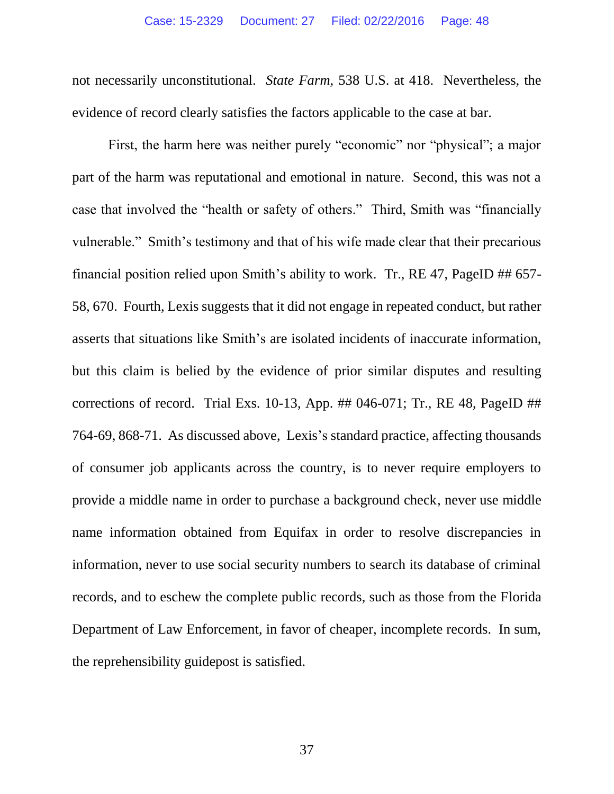not necessarily unconstitutional. *State Farm*, 538 U.S. at 418. Nevertheless, the evidence of record clearly satisfies the factors applicable to the case at bar.

First, the harm here was neither purely "economic" nor "physical"; a major part of the harm was reputational and emotional in nature. Second, this was not a case that involved the "health or safety of others." Third, Smith was "financially vulnerable." Smith's testimony and that of his wife made clear that their precarious financial position relied upon Smith's ability to work. Tr., RE 47, PageID ## 657- 58, 670. Fourth, Lexis suggests that it did not engage in repeated conduct, but rather asserts that situations like Smith's are isolated incidents of inaccurate information, but this claim is belied by the evidence of prior similar disputes and resulting corrections of record. Trial Exs.  $10-13$ , App.  $\#$ # 046-071; Tr., RE 48, PageID  $\#$ # 764-69, 868-71. As discussed above, Lexis's standard practice, affecting thousands of consumer job applicants across the country, is to never require employers to provide a middle name in order to purchase a background check, never use middle name information obtained from Equifax in order to resolve discrepancies in information, never to use social security numbers to search its database of criminal records, and to eschew the complete public records, such as those from the Florida Department of Law Enforcement, in favor of cheaper, incomplete records. In sum, the reprehensibility guidepost is satisfied.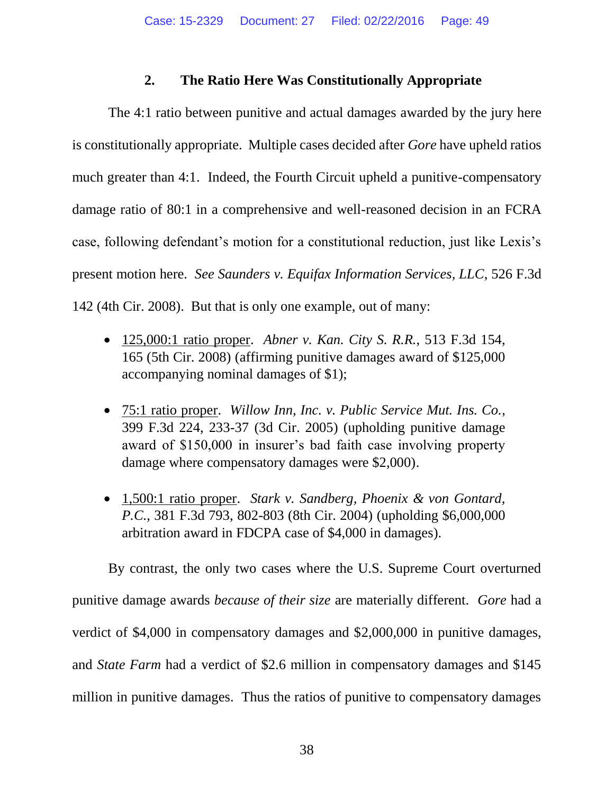#### **2. The Ratio Here Was Constitutionally Appropriate**

The 4:1 ratio between punitive and actual damages awarded by the jury here is constitutionally appropriate. Multiple cases decided after *Gore* have upheld ratios much greater than 4:1. Indeed, the Fourth Circuit upheld a punitive-compensatory damage ratio of 80:1 in a comprehensive and well-reasoned decision in an FCRA case, following defendant's motion for a constitutional reduction, just like Lexis's present motion here. *See Saunders v. Equifax Information Services, LLC*, 526 F.3d 142 (4th Cir. 2008). But that is only one example, out of many:

- 125,000:1 ratio proper. *Abner v. Kan. City S. R.R.*, 513 F.3d 154, 165 (5th Cir. 2008) (affirming punitive damages award of \$125,000 accompanying nominal damages of \$1);
- 75:1 ratio proper. *Willow Inn, Inc. v. Public Service Mut. Ins. Co.*, 399 F.3d 224, 233-37 (3d Cir. 2005) (upholding punitive damage award of \$150,000 in insurer's bad faith case involving property damage where compensatory damages were \$2,000).
- 1,500:1 ratio proper. *Stark v. Sandberg, Phoenix & von Gontard, P.C.*, 381 F.3d 793, 802-803 (8th Cir. 2004) (upholding \$6,000,000 arbitration award in FDCPA case of \$4,000 in damages).

By contrast, the only two cases where the U.S. Supreme Court overturned punitive damage awards *because of their size* are materially different. *Gore* had a verdict of \$4,000 in compensatory damages and \$2,000,000 in punitive damages, and *State Farm* had a verdict of \$2.6 million in compensatory damages and \$145 million in punitive damages. Thus the ratios of punitive to compensatory damages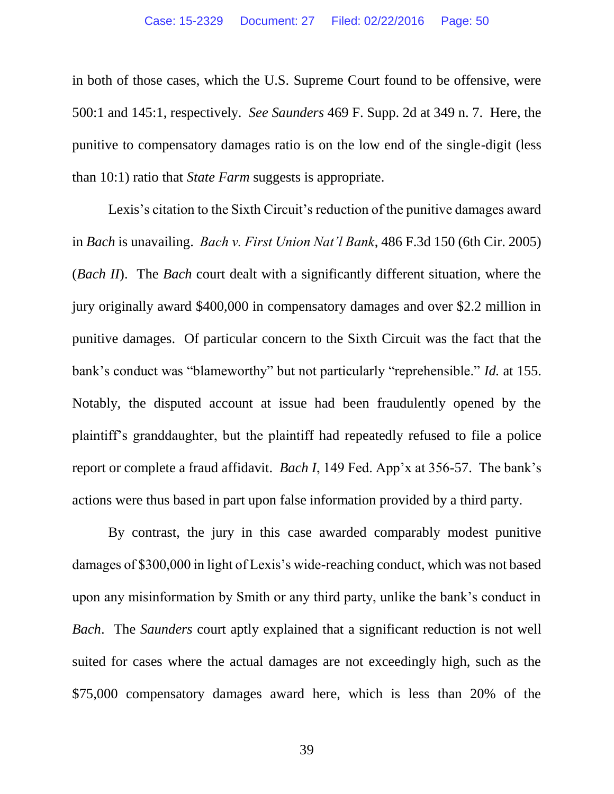in both of those cases, which the U.S. Supreme Court found to be offensive, were 500:1 and 145:1, respectively. *See Saunders* 469 F. Supp. 2d at 349 n. 7. Here, the punitive to compensatory damages ratio is on the low end of the single-digit (less than 10:1) ratio that *State Farm* suggests is appropriate.

Lexis's citation to the Sixth Circuit's reduction of the punitive damages award in *Bach* is unavailing. *Bach v. First Union Nat'l Bank*, 486 F.3d 150 (6th Cir. 2005) (*Bach II*). The *Bach* court dealt with a significantly different situation, where the jury originally award \$400,000 in compensatory damages and over \$2.2 million in punitive damages. Of particular concern to the Sixth Circuit was the fact that the bank's conduct was "blameworthy" but not particularly "reprehensible." *Id.* at 155. Notably, the disputed account at issue had been fraudulently opened by the plaintiff's granddaughter, but the plaintiff had repeatedly refused to file a police report or complete a fraud affidavit. *Bach I*, 149 Fed. App'x at 356-57. The bank's actions were thus based in part upon false information provided by a third party.

By contrast, the jury in this case awarded comparably modest punitive damages of \$300,000 in light of Lexis's wide-reaching conduct, which was not based upon any misinformation by Smith or any third party, unlike the bank's conduct in *Bach*. The *Saunders* court aptly explained that a significant reduction is not well suited for cases where the actual damages are not exceedingly high, such as the \$75,000 compensatory damages award here, which is less than 20% of the

39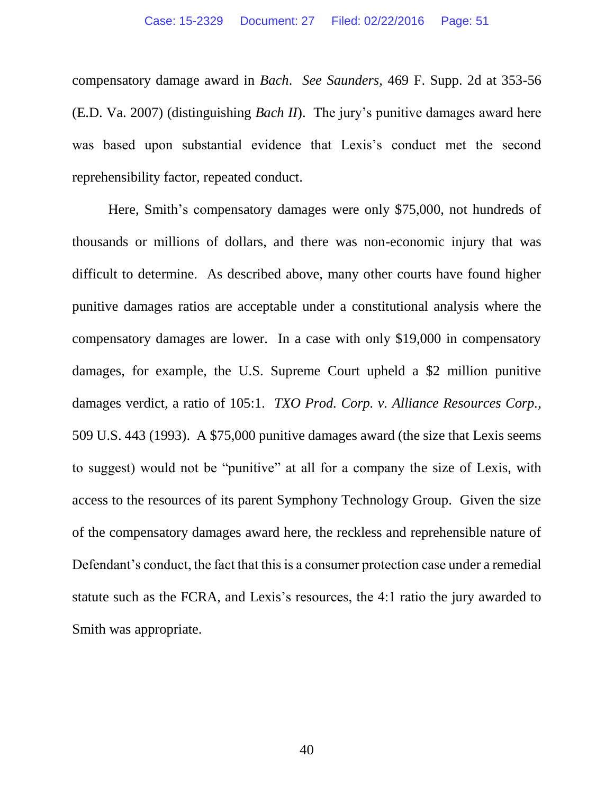compensatory damage award in *Bach*. *See Saunders*, 469 F. Supp. 2d at 353-56 (E.D. Va. 2007) (distinguishing *Bach II*). The jury's punitive damages award here was based upon substantial evidence that Lexis's conduct met the second reprehensibility factor, repeated conduct.

Here, Smith's compensatory damages were only \$75,000, not hundreds of thousands or millions of dollars, and there was non-economic injury that was difficult to determine. As described above, many other courts have found higher punitive damages ratios are acceptable under a constitutional analysis where the compensatory damages are lower. In a case with only \$19,000 in compensatory damages, for example, the U.S. Supreme Court upheld a \$2 million punitive damages verdict, a ratio of 105:1. *TXO Prod. Corp. v. Alliance Resources Corp.*, 509 U.S. 443 (1993). A \$75,000 punitive damages award (the size that Lexis seems to suggest) would not be "punitive" at all for a company the size of Lexis, with access to the resources of its parent Symphony Technology Group. Given the size of the compensatory damages award here, the reckless and reprehensible nature of Defendant's conduct, the fact that this is a consumer protection case under a remedial statute such as the FCRA, and Lexis's resources, the 4:1 ratio the jury awarded to Smith was appropriate.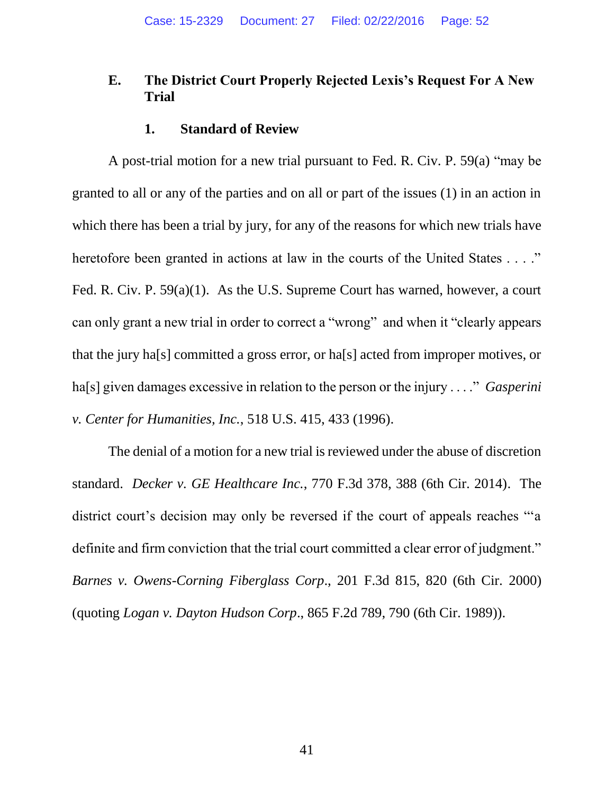#### **E. The District Court Properly Rejected Lexis's Request For A New Trial**

#### **1. Standard of Review**

A post-trial motion for a new trial pursuant to Fed. R. Civ. P. 59(a) "may be granted to all or any of the parties and on all or part of the issues (1) in an action in which there has been a trial by jury, for any of the reasons for which new trials have heretofore been granted in actions at law in the courts of the United States . . . ." Fed. R. Civ. P. 59(a)(1). As the U.S. Supreme Court has warned, however, a court can only grant a new trial in order to correct a "wrong" and when it "clearly appears that the jury ha[s] committed a gross error, or ha[s] acted from improper motives, or ha[s] given damages excessive in relation to the person or the injury . . . ." *Gasperini v. Center for Humanities, Inc.*, 518 U.S. 415, 433 (1996).

The denial of a motion for a new trial is reviewed under the abuse of discretion standard. *Decker v. GE Healthcare Inc.*, 770 F.3d 378, 388 (6th Cir. 2014). The district court's decision may only be reversed if the court of appeals reaches "'a definite and firm conviction that the trial court committed a clear error of judgment." *Barnes v. Owens-Corning Fiberglass Corp*., 201 F.3d 815, 820 (6th Cir. 2000) (quoting *Logan v. Dayton Hudson Corp*., 865 F.2d 789, 790 (6th Cir. 1989)).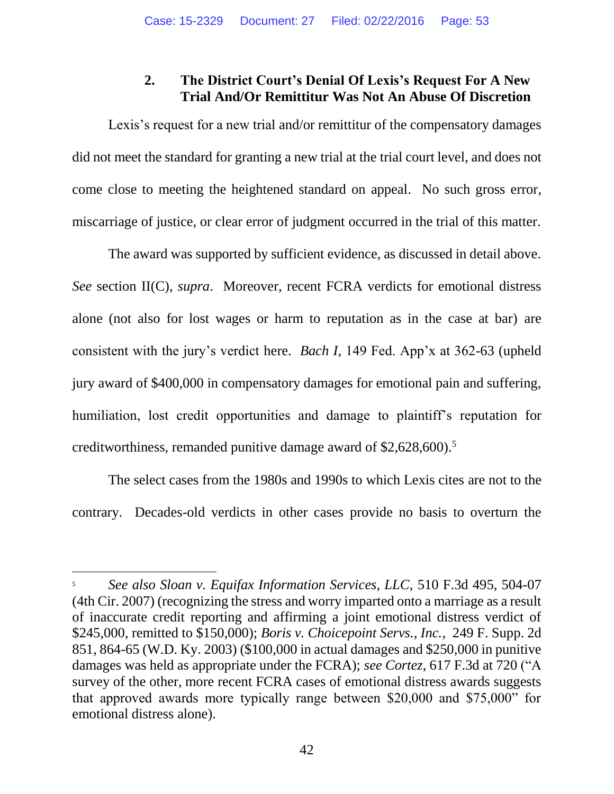#### **2. The District Court's Denial Of Lexis's Request For A New Trial And/Or Remittitur Was Not An Abuse Of Discretion**

Lexis's request for a new trial and/or remittitur of the compensatory damages did not meet the standard for granting a new trial at the trial court level, and does not come close to meeting the heightened standard on appeal. No such gross error, miscarriage of justice, or clear error of judgment occurred in the trial of this matter.

The award was supported by sufficient evidence, as discussed in detail above. *See* section II(C), *supra*. Moreover, recent FCRA verdicts for emotional distress alone (not also for lost wages or harm to reputation as in the case at bar) are consistent with the jury's verdict here. *Bach I*, 149 Fed. App'x at 362-63 (upheld jury award of \$400,000 in compensatory damages for emotional pain and suffering, humiliation, lost credit opportunities and damage to plaintiff's reputation for creditworthiness, remanded punitive damage award of \$2,628,600).<sup>5</sup>

The select cases from the 1980s and 1990s to which Lexis cites are not to the contrary. Decades-old verdicts in other cases provide no basis to overturn the

 $\overline{a}$ 

<sup>5</sup> *See also Sloan v. Equifax Information Services, LLC*, 510 F.3d 495, 504-07 (4th Cir. 2007) (recognizing the stress and worry imparted onto a marriage as a result of inaccurate credit reporting and affirming a joint emotional distress verdict of \$245,000, remitted to \$150,000); *Boris v. Choicepoint Servs., Inc.*, 249 F. Supp. 2d 851, 864-65 (W.D. Ky. 2003) (\$100,000 in actual damages and \$250,000 in punitive damages was held as appropriate under the FCRA); *see Cortez*, 617 F.3d at 720 ("A survey of the other, more recent FCRA cases of emotional distress awards suggests that approved awards more typically range between \$20,000 and \$75,000" for emotional distress alone).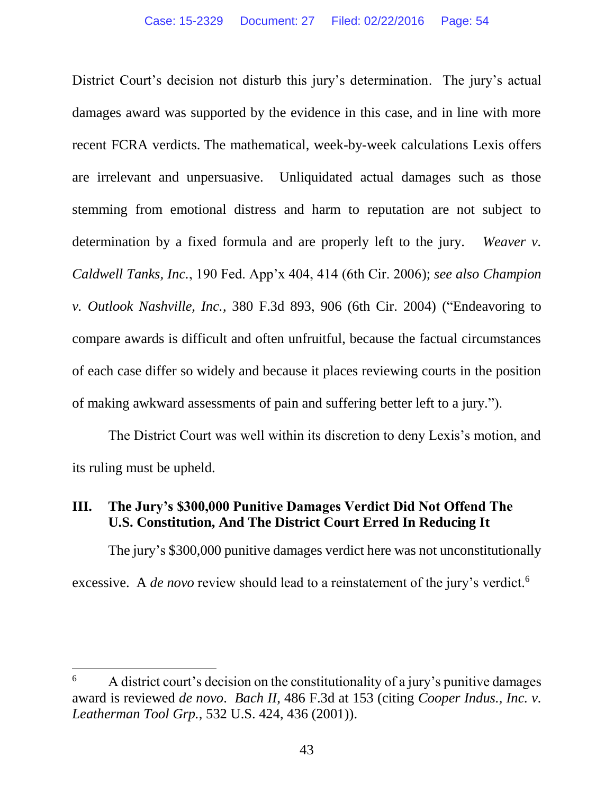District Court's decision not disturb this jury's determination. The jury's actual damages award was supported by the evidence in this case, and in line with more recent FCRA verdicts. The mathematical, week-by-week calculations Lexis offers are irrelevant and unpersuasive. Unliquidated actual damages such as those stemming from emotional distress and harm to reputation are not subject to determination by a fixed formula and are properly left to the jury. *Weaver v. Caldwell Tanks, Inc.*, 190 Fed. App'x 404, 414 (6th Cir. 2006); *see also Champion v. Outlook Nashville, Inc.*, 380 F.3d 893, 906 (6th Cir. 2004) ("Endeavoring to compare awards is difficult and often unfruitful, because the factual circumstances of each case differ so widely and because it places reviewing courts in the position of making awkward assessments of pain and suffering better left to a jury.").

The District Court was well within its discretion to deny Lexis's motion, and its ruling must be upheld.

#### **III. The Jury's \$300,000 Punitive Damages Verdict Did Not Offend The U.S. Constitution, And The District Court Erred In Reducing It**

The jury's \$300,000 punitive damages verdict here was not unconstitutionally excessive. A *de novo* review should lead to a reinstatement of the jury's verdict.<sup>6</sup>

 $\overline{a}$ 

 $\epsilon$  A district court's decision on the constitutionality of a jury's punitive damages award is reviewed *de novo*. *Bach II*, 486 F.3d at 153 (citing *Cooper Indus., Inc. v. Leatherman Tool Grp.*, 532 U.S. 424, 436 (2001)).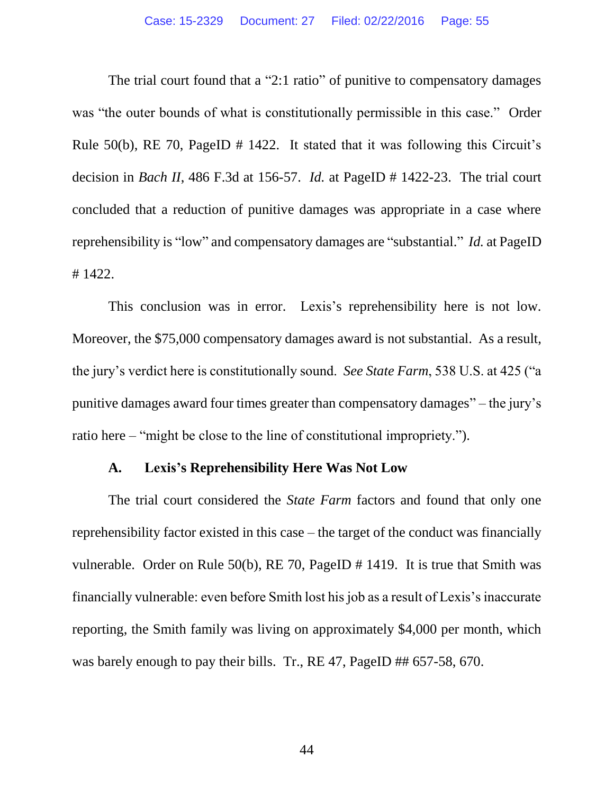The trial court found that a "2:1 ratio" of punitive to compensatory damages was "the outer bounds of what is constitutionally permissible in this case." Order Rule 50(b), RE 70, PageID # 1422. It stated that it was following this Circuit's decision in *Bach II*, 486 F.3d at 156-57. *Id.* at PageID # 1422-23. The trial court concluded that a reduction of punitive damages was appropriate in a case where reprehensibility is "low" and compensatory damages are "substantial." *Id.* at PageID # 1422.

This conclusion was in error. Lexis's reprehensibility here is not low. Moreover, the \$75,000 compensatory damages award is not substantial. As a result, the jury's verdict here is constitutionally sound. *See State Farm*, 538 U.S. at 425 ("a punitive damages award four times greater than compensatory damages" – the jury's ratio here – "might be close to the line of constitutional impropriety.").

#### **A. Lexis's Reprehensibility Here Was Not Low**

The trial court considered the *State Farm* factors and found that only one reprehensibility factor existed in this case – the target of the conduct was financially vulnerable. Order on Rule 50(b), RE 70, PageID # 1419. It is true that Smith was financially vulnerable: even before Smith lost his job as a result of Lexis's inaccurate reporting, the Smith family was living on approximately \$4,000 per month, which was barely enough to pay their bills. Tr., RE 47, PageID ## 657-58, 670.

44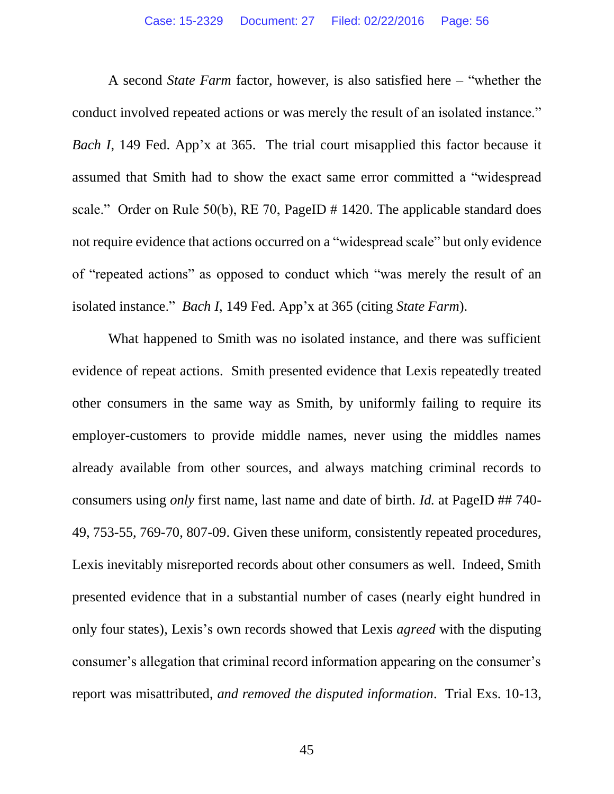A second *State Farm* factor, however, is also satisfied here – "whether the conduct involved repeated actions or was merely the result of an isolated instance." *Bach I*, 149 Fed. App'x at 365. The trial court misapplied this factor because it assumed that Smith had to show the exact same error committed a "widespread scale." Order on Rule 50(b), RE 70, PageID # 1420. The applicable standard does not require evidence that actions occurred on a "widespread scale" but only evidence of "repeated actions" as opposed to conduct which "was merely the result of an isolated instance." *Bach I*, 149 Fed. App'x at 365 (citing *State Farm*).

What happened to Smith was no isolated instance, and there was sufficient evidence of repeat actions. Smith presented evidence that Lexis repeatedly treated other consumers in the same way as Smith, by uniformly failing to require its employer-customers to provide middle names, never using the middles names already available from other sources, and always matching criminal records to consumers using *only* first name, last name and date of birth. *Id.* at PageID ## 740- 49, 753-55, 769-70, 807-09. Given these uniform, consistently repeated procedures, Lexis inevitably misreported records about other consumers as well. Indeed, Smith presented evidence that in a substantial number of cases (nearly eight hundred in only four states), Lexis's own records showed that Lexis *agreed* with the disputing consumer's allegation that criminal record information appearing on the consumer's report was misattributed, *and removed the disputed information*. Trial Exs. 10-13,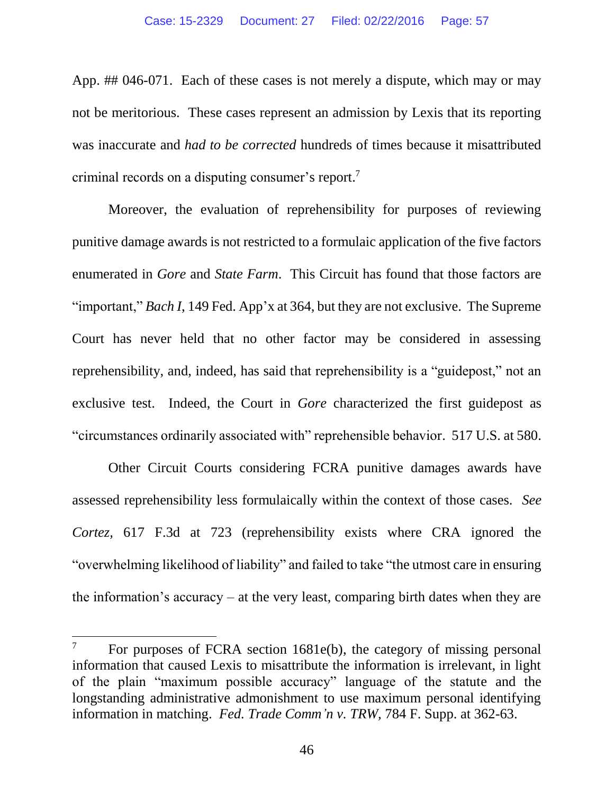App. ## 046-071. Each of these cases is not merely a dispute, which may or may not be meritorious. These cases represent an admission by Lexis that its reporting was inaccurate and *had to be corrected* hundreds of times because it misattributed criminal records on a disputing consumer's report. 7

Moreover, the evaluation of reprehensibility for purposes of reviewing punitive damage awards is not restricted to a formulaic application of the five factors enumerated in *Gore* and *State Farm*. This Circuit has found that those factors are "important," *Bach I*, 149 Fed. App'x at 364, but they are not exclusive. The Supreme Court has never held that no other factor may be considered in assessing reprehensibility, and, indeed, has said that reprehensibility is a "guidepost," not an exclusive test. Indeed, the Court in *Gore* characterized the first guidepost as "circumstances ordinarily associated with" reprehensible behavior. 517 U.S. at 580.

Other Circuit Courts considering FCRA punitive damages awards have assessed reprehensibility less formulaically within the context of those cases. *See Cortez,* 617 F.3d at 723 (reprehensibility exists where CRA ignored the "overwhelming likelihood of liability" and failed to take "the utmost care in ensuring the information's accuracy – at the very least, comparing birth dates when they are

 $\overline{a}$ 

For purposes of FCRA section 1681e(b), the category of missing personal information that caused Lexis to misattribute the information is irrelevant, in light of the plain "maximum possible accuracy" language of the statute and the longstanding administrative admonishment to use maximum personal identifying information in matching. *Fed. Trade Comm'n v. TRW,* 784 F. Supp. at 362-63.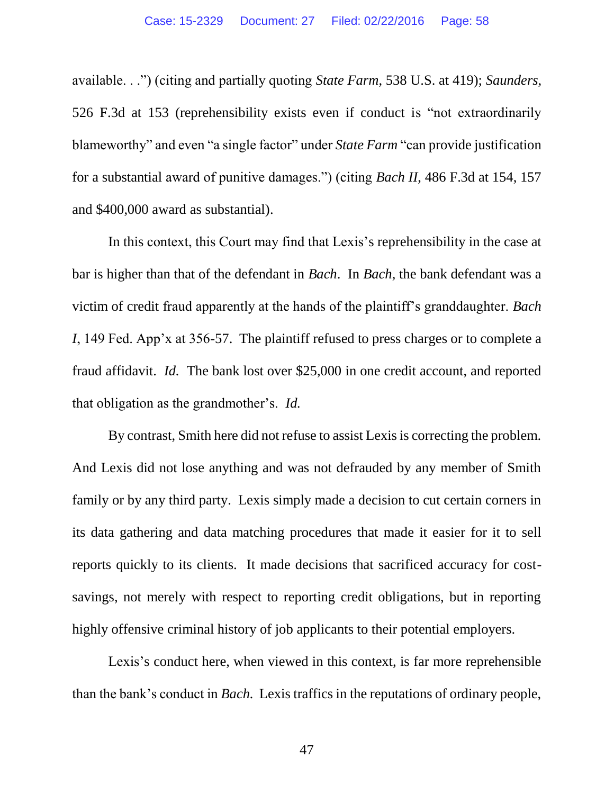available. . .") (citing and partially quoting *State Farm*, 538 U.S. at 419); *Saunders*, 526 F.3d at 153 (reprehensibility exists even if conduct is "not extraordinarily blameworthy" and even "a single factor" under *State Farm* "can provide justification for a substantial award of punitive damages.") (citing *Bach II*, 486 F.3d at 154, 157 and \$400,000 award as substantial).

In this context, this Court may find that Lexis's reprehensibility in the case at bar is higher than that of the defendant in *Bach*. In *Bach*, the bank defendant was a victim of credit fraud apparently at the hands of the plaintiff's granddaughter. *Bach I*, 149 Fed. App'x at 356-57. The plaintiff refused to press charges or to complete a fraud affidavit. *Id.* The bank lost over \$25,000 in one credit account, and reported that obligation as the grandmother's. *Id.*

By contrast, Smith here did not refuse to assist Lexis is correcting the problem. And Lexis did not lose anything and was not defrauded by any member of Smith family or by any third party. Lexis simply made a decision to cut certain corners in its data gathering and data matching procedures that made it easier for it to sell reports quickly to its clients. It made decisions that sacrificed accuracy for costsavings, not merely with respect to reporting credit obligations, but in reporting highly offensive criminal history of job applicants to their potential employers.

Lexis's conduct here, when viewed in this context, is far more reprehensible than the bank's conduct in *Bach.* Lexis traffics in the reputations of ordinary people,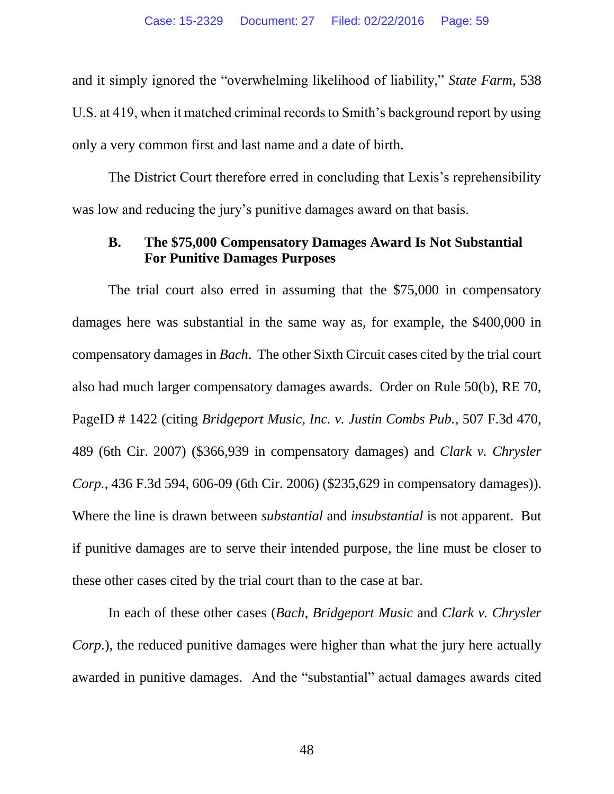and it simply ignored the "overwhelming likelihood of liability," *State Farm*, 538 U.S. at 419, when it matched criminal records to Smith's background report by using only a very common first and last name and a date of birth.

The District Court therefore erred in concluding that Lexis's reprehensibility was low and reducing the jury's punitive damages award on that basis.

#### **B. The \$75,000 Compensatory Damages Award Is Not Substantial For Punitive Damages Purposes**

The trial court also erred in assuming that the \$75,000 in compensatory damages here was substantial in the same way as, for example, the \$400,000 in compensatory damages in *Bach*. The other Sixth Circuit cases cited by the trial court also had much larger compensatory damages awards. Order on Rule 50(b), RE 70, PageID # 1422 (citing *Bridgeport Music, Inc. v. Justin Combs Pub.*, 507 F.3d 470, 489 (6th Cir. 2007) (\$366,939 in compensatory damages) and *Clark v. Chrysler Corp.*, 436 F.3d 594, 606-09 (6th Cir. 2006) (\$235,629 in compensatory damages)). Where the line is drawn between *substantial* and *insubstantial* is not apparent. But if punitive damages are to serve their intended purpose, the line must be closer to these other cases cited by the trial court than to the case at bar.

In each of these other cases (*Bach*, *Bridgeport Music* and *Clark v. Chrysler Corp*.), the reduced punitive damages were higher than what the jury here actually awarded in punitive damages. And the "substantial" actual damages awards cited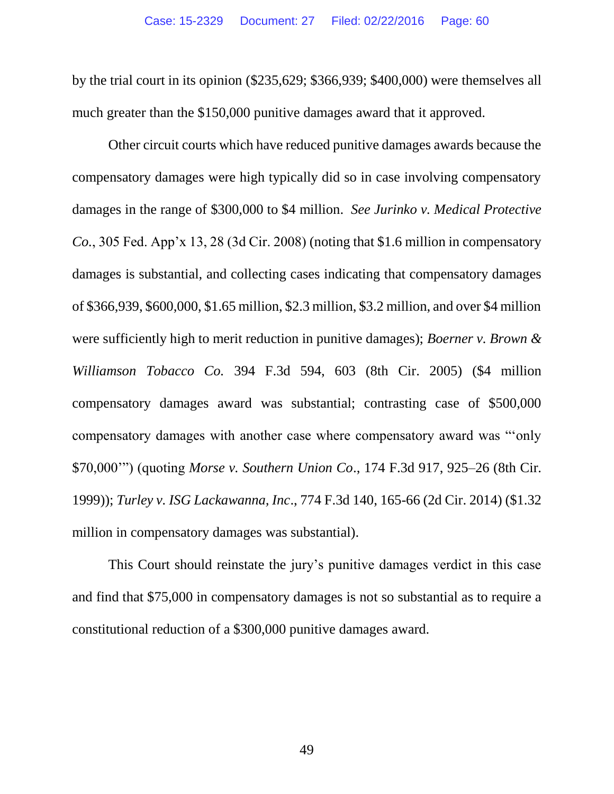by the trial court in its opinion (\$235,629; \$366,939; \$400,000) were themselves all much greater than the \$150,000 punitive damages award that it approved.

Other circuit courts which have reduced punitive damages awards because the compensatory damages were high typically did so in case involving compensatory damages in the range of \$300,000 to \$4 million. *See Jurinko v. Medical Protective Co.*, 305 Fed. App'x 13, 28 (3d Cir. 2008) (noting that \$1.6 million in compensatory damages is substantial, and collecting cases indicating that compensatory damages of \$366,939, \$600,000, \$1.65 million, \$2.3 million, \$3.2 million, and over \$4 million were sufficiently high to merit reduction in punitive damages); *Boerner v. Brown & Williamson Tobacco Co.* 394 F.3d 594, 603 (8th Cir. 2005) (\$4 million compensatory damages award was substantial; contrasting case of \$500,000 compensatory damages with another case where compensatory award was "'only \$70,000'") (quoting *Morse v. Southern Union Co*., 174 F.3d 917, 925–26 (8th Cir. 1999)); *Turley v. ISG Lackawanna, Inc*., 774 F.3d 140, 165-66 (2d Cir. 2014) (\$1.32 million in compensatory damages was substantial).

This Court should reinstate the jury's punitive damages verdict in this case and find that \$75,000 in compensatory damages is not so substantial as to require a constitutional reduction of a \$300,000 punitive damages award.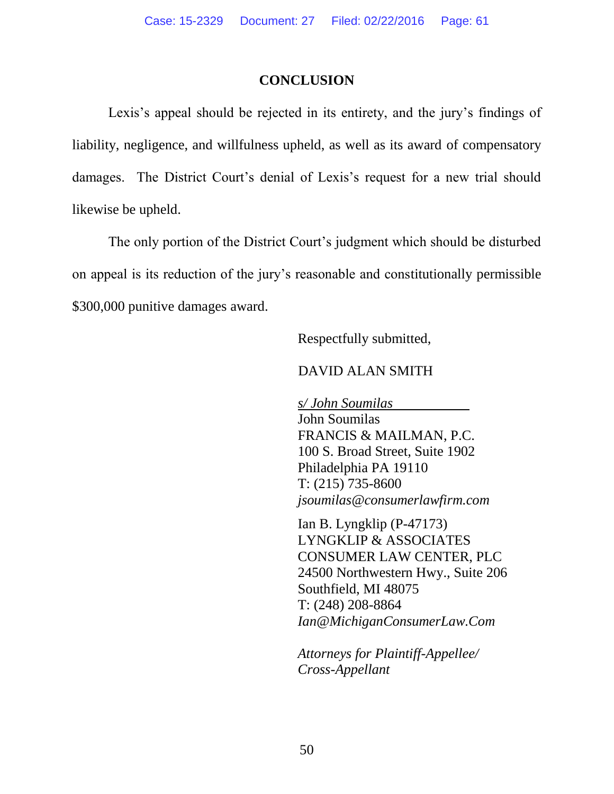#### **CONCLUSION**

Lexis's appeal should be rejected in its entirety, and the jury's findings of liability, negligence, and willfulness upheld, as well as its award of compensatory damages. The District Court's denial of Lexis's request for a new trial should likewise be upheld.

The only portion of the District Court's judgment which should be disturbed on appeal is its reduction of the jury's reasonable and constitutionally permissible \$300,000 punitive damages award.

Respectfully submitted,

#### DAVID ALAN SMITH

*s/ John Soumilas* John Soumilas FRANCIS & MAILMAN, P.C. 100 S. Broad Street, Suite 1902 Philadelphia PA 19110 T: (215) 735-8600 *[jsoumilas@consumerlawfirm.com](mailto:jsoumilas@consumerlawfirm.com)*

Ian B. Lyngklip (P-47173) LYNGKLIP & ASSOCIATES CONSUMER LAW CENTER, PLC 24500 Northwestern Hwy., Suite 206 Southfield, MI 48075 T: (248) 208-8864 *Ian@MichiganConsumerLaw.Com*

*Attorneys for Plaintiff-Appellee/ Cross-Appellant*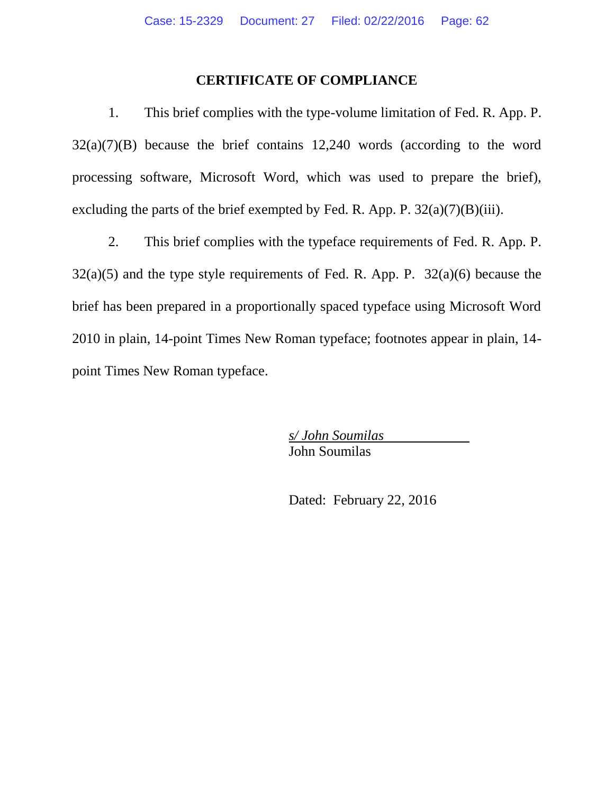#### **CERTIFICATE OF COMPLIANCE**

1. This brief complies with the type-volume limitation of Fed. R. App. P.  $32(a)(7)(B)$  because the brief contains 12,240 words (according to the word processing software, Microsoft Word, which was used to prepare the brief), excluding the parts of the brief exempted by Fed. R. App. P.  $32(a)(7)(B)(iii)$ .

2. This brief complies with the typeface requirements of Fed. R. App. P.  $32(a)(5)$  and the type style requirements of Fed. R. App. P.  $32(a)(6)$  because the brief has been prepared in a proportionally spaced typeface using Microsoft Word 2010 in plain, 14-point Times New Roman typeface; footnotes appear in plain, 14 point Times New Roman typeface.

> *s/ John Soumilas* John Soumilas

Dated: February 22, 2016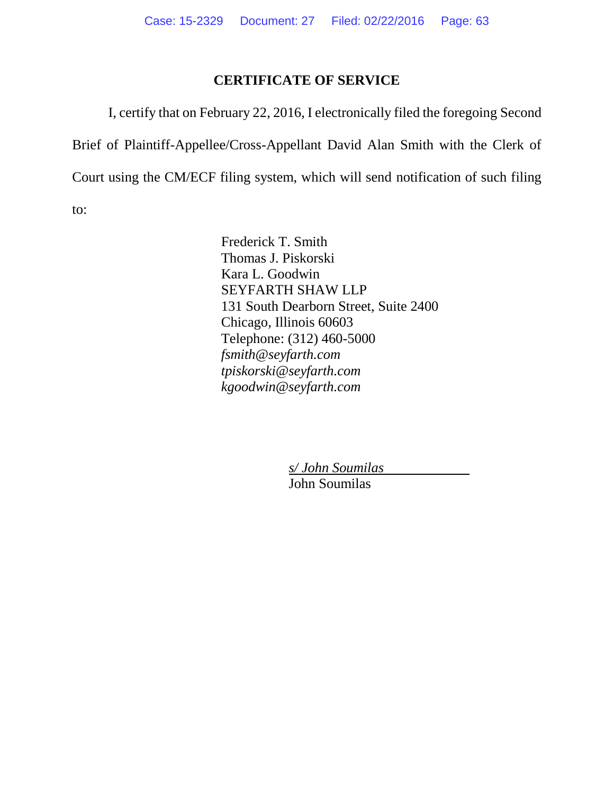#### **CERTIFICATE OF SERVICE**

I, certify that on February 22, 2016, I electronically filed the foregoing Second Brief of Plaintiff-Appellee/Cross-Appellant David Alan Smith with the Clerk of Court using the CM/ECF filing system, which will send notification of such filing to:

> Frederick T. Smith Thomas J. Piskorski Kara L. Goodwin SEYFARTH SHAW LLP 131 South Dearborn Street, Suite 2400 Chicago, Illinois 60603 Telephone: (312) 460-5000 *fsmith@seyfarth.com tpiskorski@seyfarth.com kgoodwin@seyfarth.com*

> > *s/ John Soumilas*

John Soumilas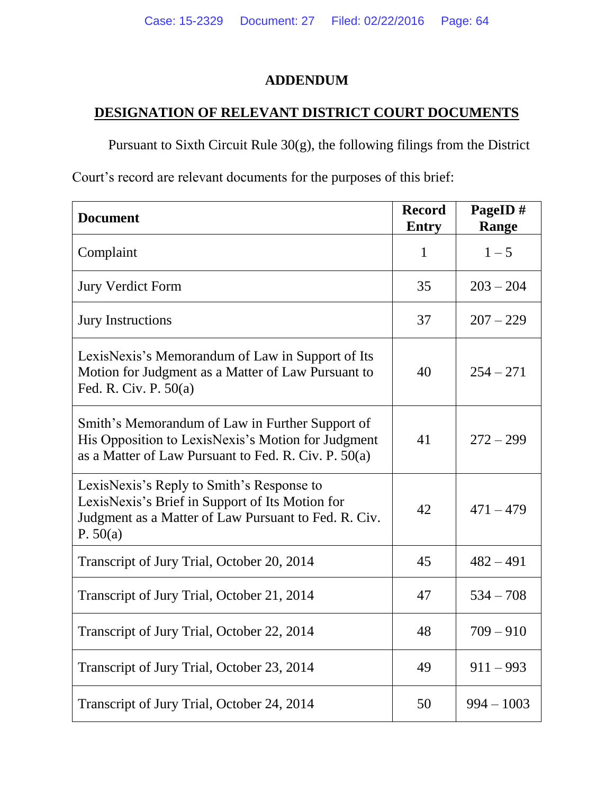# **ADDENDUM**

# **DESIGNATION OF RELEVANT DISTRICT COURT DOCUMENTS**

Pursuant to Sixth Circuit Rule 30(g), the following filings from the District

Court's record are relevant documents for the purposes of this brief:

| <b>Document</b>                                                                                                                                                  | <b>Record</b><br><b>Entry</b> | PageID#<br>Range |
|------------------------------------------------------------------------------------------------------------------------------------------------------------------|-------------------------------|------------------|
| Complaint                                                                                                                                                        | $\mathbf{1}$                  | $1 - 5$          |
| <b>Jury Verdict Form</b>                                                                                                                                         | 35                            | $203 - 204$      |
| <b>Jury Instructions</b>                                                                                                                                         | 37                            | $207 - 229$      |
| LexisNexis's Memorandum of Law in Support of Its<br>Motion for Judgment as a Matter of Law Pursuant to<br>Fed. R. Civ. P. $50(a)$                                | 40                            | $254 - 271$      |
| Smith's Memorandum of Law in Further Support of<br>His Opposition to LexisNexis's Motion for Judgment<br>as a Matter of Law Pursuant to Fed. R. Civ. P. 50(a)    | 41                            | $272 - 299$      |
| LexisNexis's Reply to Smith's Response to<br>LexisNexis's Brief in Support of Its Motion for<br>Judgment as a Matter of Law Pursuant to Fed. R. Civ.<br>P. 50(a) | 42                            | $471 - 479$      |
| Transcript of Jury Trial, October 20, 2014                                                                                                                       | 45                            | $482 - 491$      |
| Transcript of Jury Trial, October 21, 2014                                                                                                                       | 47                            | $534 - 708$      |
| Transcript of Jury Trial, October 22, 2014                                                                                                                       | 48                            | $709 - 910$      |
| Transcript of Jury Trial, October 23, 2014                                                                                                                       | 49                            | $911 - 993$      |
| Transcript of Jury Trial, October 24, 2014                                                                                                                       | 50                            | $994 - 1003$     |